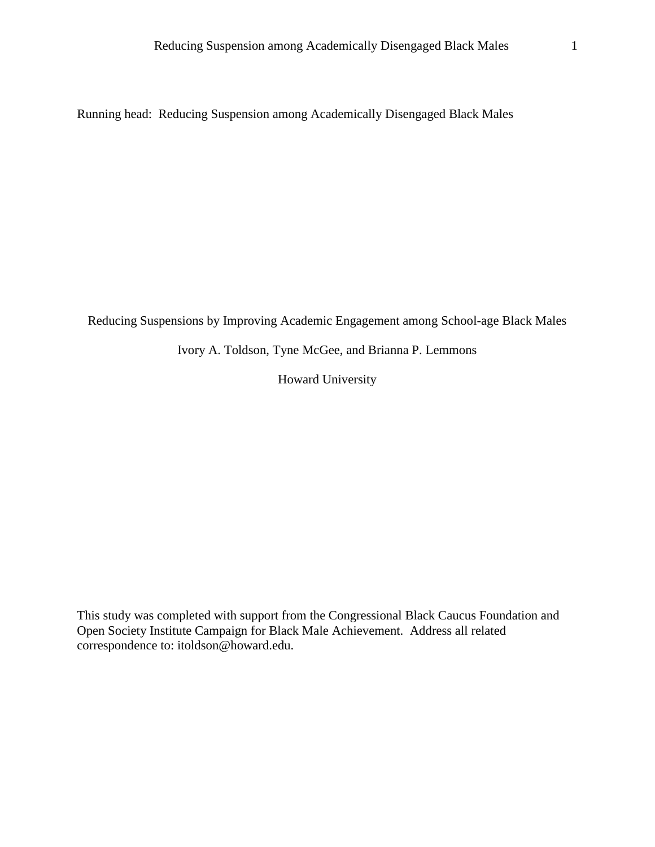Running head: Reducing Suspension among Academically Disengaged Black Males

Reducing Suspensions by Improving Academic Engagement among School-age Black Males

Ivory A. Toldson, Tyne McGee, and Brianna P. Lemmons

Howard University

This study was completed with support from the Congressional Black Caucus Foundation and Open Society Institute Campaign for Black Male Achievement. Address all related correspondence to: itoldson@howard.edu.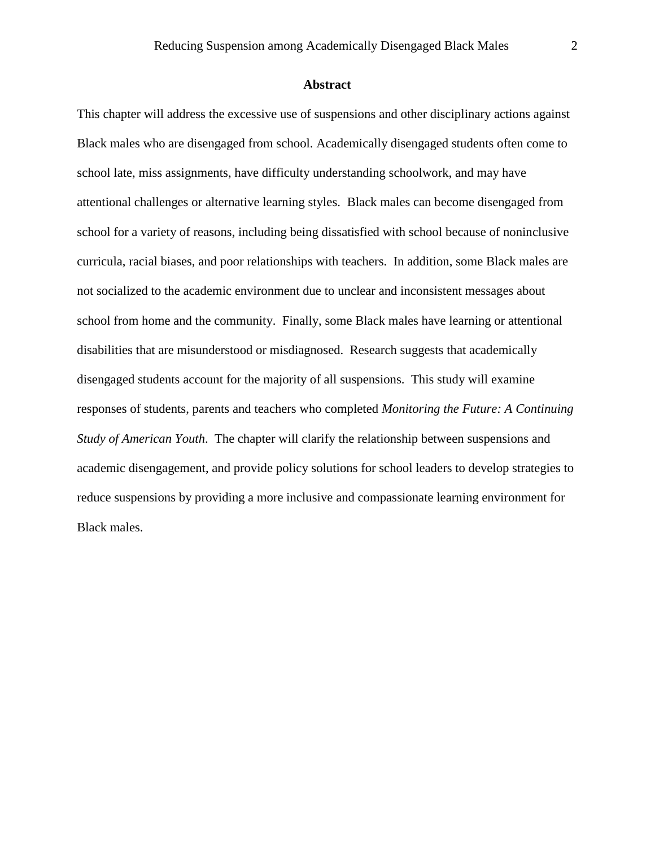#### **Abstract**

This chapter will address the excessive use of suspensions and other disciplinary actions against Black males who are disengaged from school. Academically disengaged students often come to school late, miss assignments, have difficulty understanding schoolwork, and may have attentional challenges or alternative learning styles. Black males can become disengaged from school for a variety of reasons, including being dissatisfied with school because of noninclusive curricula, racial biases, and poor relationships with teachers. In addition, some Black males are not socialized to the academic environment due to unclear and inconsistent messages about school from home and the community. Finally, some Black males have learning or attentional disabilities that are misunderstood or misdiagnosed. Research suggests that academically disengaged students account for the majority of all suspensions. This study will examine responses of students, parents and teachers who completed *Monitoring the Future: A Continuing Study of American Youth*. The chapter will clarify the relationship between suspensions and academic disengagement, and provide policy solutions for school leaders to develop strategies to reduce suspensions by providing a more inclusive and compassionate learning environment for Black males.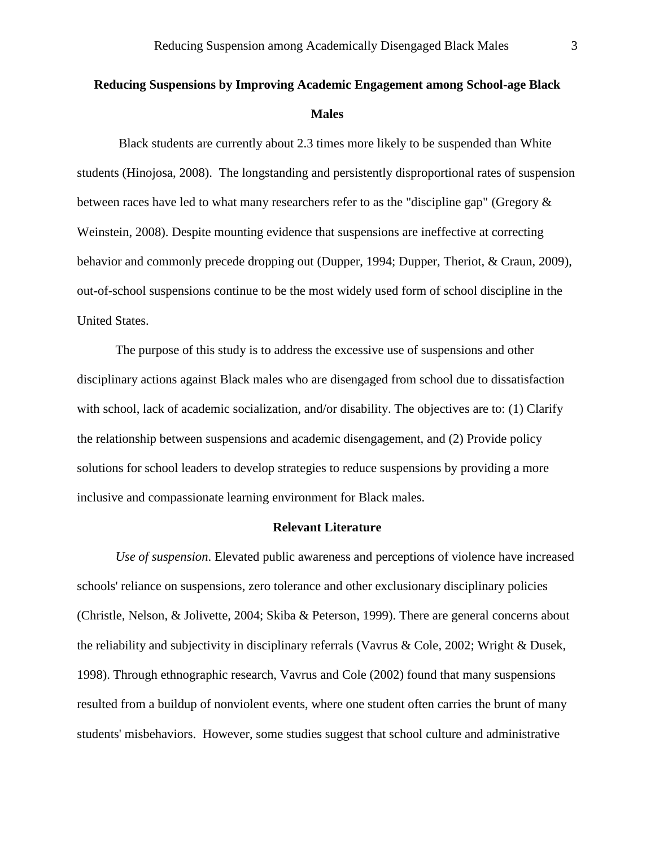# **Reducing Suspensions by Improving Academic Engagement among School-age Black Males**

Black students are currently about 2.3 times more likely to be suspended than White students (Hinojosa, 2008). The longstanding and persistently disproportional rates of suspension between races have led to what many researchers refer to as the "discipline gap" (Gregory & Weinstein, 2008). Despite mounting evidence that suspensions are ineffective at correcting behavior and commonly precede dropping out (Dupper, 1994; Dupper, Theriot, & Craun, 2009), out-of-school suspensions continue to be the most widely used form of school discipline in the United States.

The purpose of this study is to address the excessive use of suspensions and other disciplinary actions against Black males who are disengaged from school due to dissatisfaction with school, lack of academic socialization, and/or disability. The objectives are to: (1) Clarify the relationship between suspensions and academic disengagement, and (2) Provide policy solutions for school leaders to develop strategies to reduce suspensions by providing a more inclusive and compassionate learning environment for Black males.

# **Relevant Literature**

*Use of suspension*. Elevated public awareness and perceptions of violence have increased schools' reliance on suspensions, zero tolerance and other exclusionary disciplinary policies (Christle, Nelson, & Jolivette, 2004; Skiba & Peterson, 1999). There are general concerns about the reliability and subjectivity in disciplinary referrals (Vavrus & Cole, 2002; Wright & Dusek, 1998). Through ethnographic research, Vavrus and Cole (2002) found that many suspensions resulted from a buildup of nonviolent events, where one student often carries the brunt of many students' misbehaviors. However, some studies suggest that school culture and administrative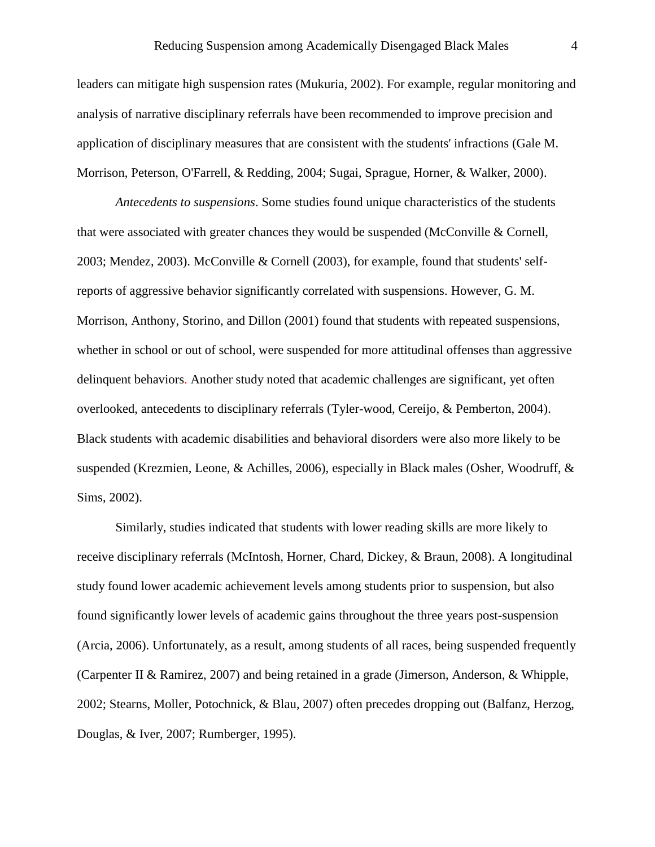leaders can mitigate high suspension rates (Mukuria, 2002). For example, regular monitoring and analysis of narrative disciplinary referrals have been recommended to improve precision and application of disciplinary measures that are consistent with the students' infractions (Gale M. Morrison, Peterson, O'Farrell, & Redding, 2004; Sugai, Sprague, Horner, & Walker, 2000).

*Antecedents to suspensions*. Some studies found unique characteristics of the students that were associated with greater chances they would be suspended (McConville & Cornell, 2003; Mendez, 2003). [McConville & Cornell \(2003\)](#page-20-0), for example, found that students' selfreports of aggressive behavior significantly correlated with suspensions. However, G. M. Morrison, Anthony, Storino, and Dillon (2001) found that students with repeated suspensions, whether in school or out of school, were suspended for more attitudinal offenses than aggressive delinquent behaviors. Another study noted that academic challenges are significant, yet often overlooked, antecedents to disciplinary referrals (Tyler-wood, Cereijo, & Pemberton, 2004). Black students with academic disabilities and behavioral disorders were also more likely to be suspended (Krezmien, Leone, & Achilles, 2006), especially in Black males (Osher, Woodruff, & Sims, 2002).

Similarly, studies indicated that students with lower reading skills are more likely to receive disciplinary referrals (McIntosh, Horner, Chard, Dickey, & Braun, 2008). A longitudinal study found lower academic achievement levels among students prior to suspension, but also found significantly lower levels of academic gains throughout the three years post-suspension (Arcia, 2006). Unfortunately, as a result, among students of all races, being suspended frequently (Carpenter II & Ramirez, 2007) and being retained in a grade (Jimerson, Anderson, & Whipple, 2002; Stearns, Moller, Potochnick, & Blau, 2007) often precedes dropping out (Balfanz, Herzog, Douglas, & Iver, 2007; Rumberger, 1995).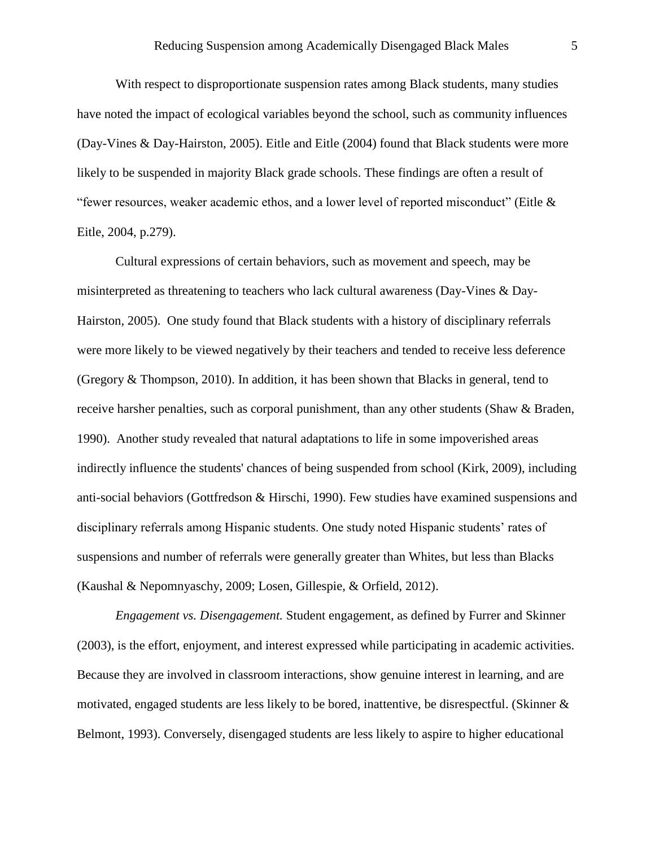With respect to disproportionate suspension rates among Black students, many studies have noted the impact of ecological variables beyond the school, such as community influences (Day-Vines & Day-Hairston, 2005). Eitle and Eitle (2004) found that Black students were more likely to be suspended in majority Black grade schools. These findings are often a result of "fewer resources, weaker academic ethos, and a lower level of reported misconduct" (Eitle & Eitle, 2004, p.279).

Cultural expressions of certain behaviors, such as movement and speech, may be misinterpreted as threatening to teachers who lack cultural awareness (Day-Vines & Day-Hairston, 2005). One study found that Black students with a history of disciplinary referrals were more likely to be viewed negatively by their teachers and tended to receive less deference (Gregory & Thompson, 2010). In addition, it has been shown that Blacks in general, tend to receive harsher penalties, such as corporal punishment, than any other students (Shaw & Braden, 1990). Another study revealed that natural adaptations to life in some impoverished areas indirectly influence the students' chances of being suspended from school (Kirk, 2009), including anti-social behaviors (Gottfredson & Hirschi, 1990). Few studies have examined suspensions and disciplinary referrals among Hispanic students. One study noted Hispanic students' rates of suspensions and number of referrals were generally greater than Whites, but less than Blacks (Kaushal & Nepomnyaschy, 2009; Losen, Gillespie, & Orfield, 2012).

*Engagement vs. Disengagement.* Student engagement, as defined by Furrer and Skinner (2003), is the effort, enjoyment, and interest expressed while participating in academic activities. Because they are involved in classroom interactions, show genuine interest in learning, and are motivated, engaged students are less likely to be bored, inattentive, be disrespectful. (Skinner & Belmont, 1993). Conversely, disengaged students are less likely to aspire to higher educational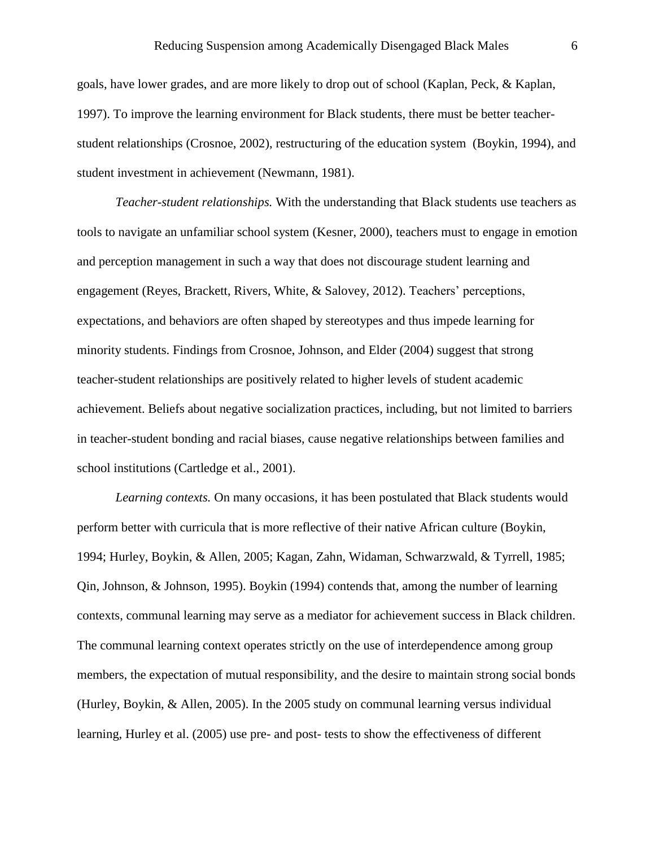goals, have lower grades, and are more likely to drop out of school (Kaplan, Peck, & Kaplan, 1997). To improve the learning environment for Black students, there must be better teacherstudent relationships (Crosnoe, 2002), restructuring of the education system (Boykin, 1994), and student investment in achievement (Newmann, 1981).

*Teacher-student relationships.* With the understanding that Black students use teachers as tools to navigate an unfamiliar school system (Kesner, 2000), teachers must to engage in emotion and perception management in such a way that does not discourage student learning and engagement (Reyes, Brackett, Rivers, White, & Salovey, 2012). Teachers' perceptions, expectations, and behaviors are often shaped by stereotypes and thus impede learning for minority students. Findings from Crosnoe, Johnson, and Elder (2004) suggest that strong teacher-student relationships are positively related to higher levels of student academic achievement. Beliefs about negative socialization practices, including, but not limited to barriers in teacher-student bonding and racial biases, cause negative relationships between families and school institutions (Cartledge et al., 2001).

*Learning contexts.* On many occasions, it has been postulated that Black students would perform better with curricula that is more reflective of their native African culture (Boykin, 1994; Hurley, Boykin, & Allen, 2005; Kagan, Zahn, Widaman, Schwarzwald, & Tyrrell, 1985; Qin, Johnson, & Johnson, 1995). Boykin (1994) contends that, among the number of learning contexts, communal learning may serve as a mediator for achievement success in Black children. The communal learning context operates strictly on the use of interdependence among group members, the expectation of mutual responsibility, and the desire to maintain strong social bonds (Hurley, Boykin, & Allen, 2005). In the 2005 study on communal learning versus individual learning, Hurley et al. (2005) use pre- and post- tests to show the effectiveness of different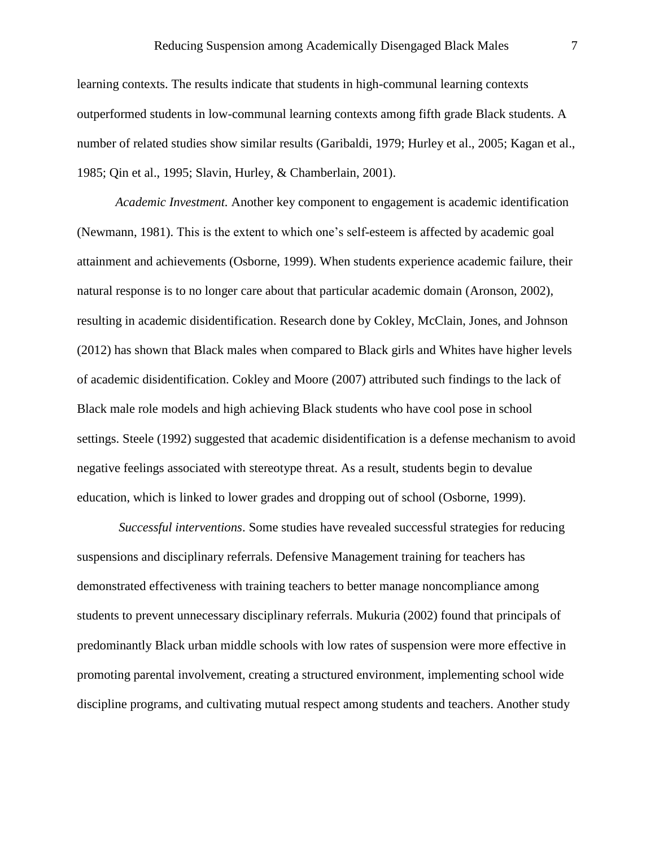learning contexts. The results indicate that students in high-communal learning contexts outperformed students in low-communal learning contexts among fifth grade Black students. A number of related studies show similar results (Garibaldi, 1979; Hurley et al., 2005; Kagan et al., 1985; Qin et al., 1995; Slavin, Hurley, & Chamberlain, 2001).

*Academic Investment.* Another key component to engagement is academic identification (Newmann, 1981). This is the extent to which one's self-esteem is affected by academic goal attainment and achievements (Osborne, 1999). When students experience academic failure, their natural response is to no longer care about that particular academic domain (Aronson, 2002), resulting in academic disidentification. Research done by Cokley, McClain, Jones, and Johnson (2012) has shown that Black males when compared to Black girls and Whites have higher levels of academic disidentification. Cokley and Moore (2007) attributed such findings to the lack of Black male role models and high achieving Black students who have cool pose in school settings. Steele (1992) suggested that academic disidentification is a defense mechanism to avoid negative feelings associated with stereotype threat. As a result, students begin to devalue education, which is linked to lower grades and dropping out of school (Osborne, 1999).

*Successful interventions*. Some studies have revealed successful strategies for reducing suspensions and disciplinary referrals. Defensive Management training for teachers has demonstrated effectiveness with training teachers to better manage noncompliance among students to prevent unnecessary disciplinary referrals. Mukuria (2002) found that principals of predominantly Black urban middle schools with low rates of suspension were more effective in promoting parental involvement, creating a structured environment, implementing school wide discipline programs, and cultivating mutual respect among students and teachers. Another study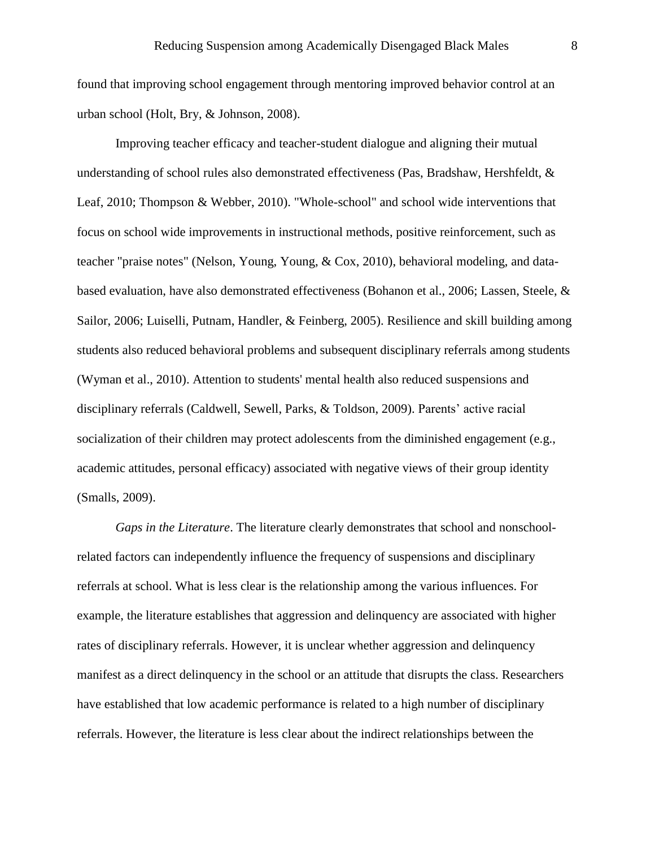found that improving school engagement through mentoring improved behavior control at an urban school (Holt, Bry, & Johnson, 2008).

Improving teacher efficacy and teacher-student dialogue and aligning their mutual understanding of school rules also demonstrated effectiveness (Pas, Bradshaw, Hershfeldt, & Leaf, 2010; Thompson & Webber, 2010). "Whole-school" and school wide interventions that focus on school wide improvements in instructional methods, positive reinforcement, such as teacher "praise notes" (Nelson, Young, Young, & Cox, 2010), behavioral modeling, and databased evaluation, have also demonstrated effectiveness (Bohanon et al., 2006; Lassen, Steele, & Sailor, 2006; Luiselli, Putnam, Handler, & Feinberg, 2005). Resilience and skill building among students also reduced behavioral problems and subsequent disciplinary referrals among students (Wyman et al., 2010). Attention to students' mental health also reduced suspensions and disciplinary referrals (Caldwell, Sewell, Parks, & Toldson, 2009). Parents' active racial socialization of their children may protect adolescents from the diminished engagement (e.g., academic attitudes, personal efficacy) associated with negative views of their group identity (Smalls, 2009).

*Gaps in the Literature*. The literature clearly demonstrates that school and nonschoolrelated factors can independently influence the frequency of suspensions and disciplinary referrals at school. What is less clear is the relationship among the various influences. For example, the literature establishes that aggression and delinquency are associated with higher rates of disciplinary referrals. However, it is unclear whether aggression and delinquency manifest as a direct delinquency in the school or an attitude that disrupts the class. Researchers have established that low academic performance is related to a high number of disciplinary referrals. However, the literature is less clear about the indirect relationships between the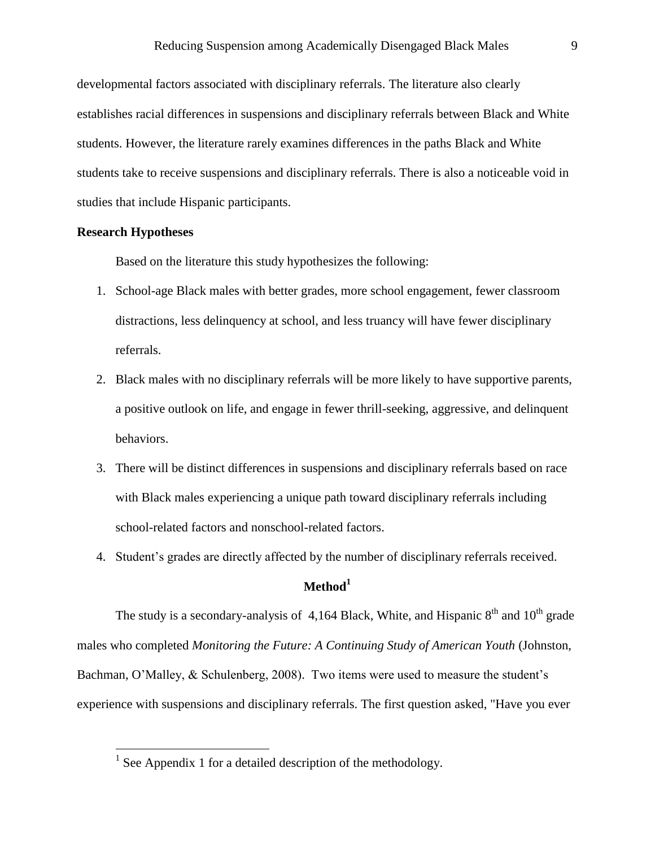developmental factors associated with disciplinary referrals. The literature also clearly establishes racial differences in suspensions and disciplinary referrals between Black and White students. However, the literature rarely examines differences in the paths Black and White students take to receive suspensions and disciplinary referrals. There is also a noticeable void in studies that include Hispanic participants.

# **Research Hypotheses**

Based on the literature this study hypothesizes the following:

- 1. School-age Black males with better grades, more school engagement, fewer classroom distractions, less delinquency at school, and less truancy will have fewer disciplinary referrals.
- 2. Black males with no disciplinary referrals will be more likely to have supportive parents, a positive outlook on life, and engage in fewer thrill-seeking, aggressive, and delinquent behaviors.
- 3. There will be distinct differences in suspensions and disciplinary referrals based on race with Black males experiencing a unique path toward disciplinary referrals including school-related factors and nonschool-related factors.
- 4. Student's grades are directly affected by the number of disciplinary referrals received.

# **Method<sup>1</sup>**

The study is a secondary-analysis of 4,164 Black, White, and Hispanic  $8<sup>th</sup>$  and  $10<sup>th</sup>$  grade males who completed *Monitoring the Future: A Continuing Study of American Youth* (Johnston, Bachman, O'Malley, & Schulenberg, 2008). Two items were used to measure the student's experience with suspensions and disciplinary referrals. The first question asked, "Have you ever

 1 See Appendix 1 for a detailed description of the methodology.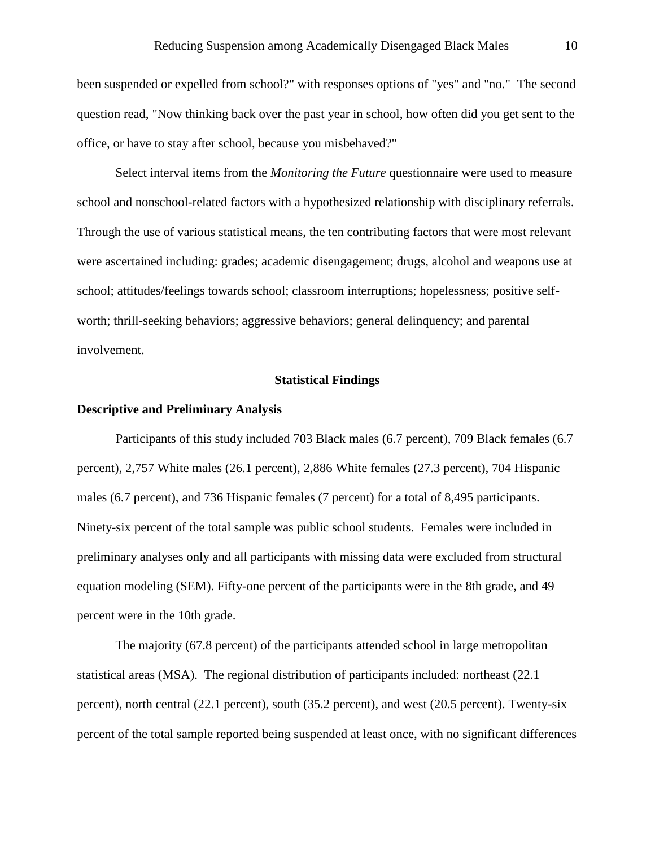been suspended or expelled from school?" with responses options of "yes" and "no." The second question read, "Now thinking back over the past year in school, how often did you get sent to the office, or have to stay after school, because you misbehaved?"

Select interval items from the *Monitoring the Future* questionnaire were used to measure school and nonschool-related factors with a hypothesized relationship with disciplinary referrals. Through the use of various statistical means, the ten contributing factors that were most relevant were ascertained including: grades; academic disengagement; drugs, alcohol and weapons use at school; attitudes/feelings towards school; classroom interruptions; hopelessness; positive selfworth; thrill-seeking behaviors; aggressive behaviors; general delinquency; and parental involvement.

### **Statistical Findings**

#### **Descriptive and Preliminary Analysis**

Participants of this study included 703 Black males (6.7 percent), 709 Black females (6.7 percent), 2,757 White males (26.1 percent), 2,886 White females (27.3 percent), 704 Hispanic males (6.7 percent), and 736 Hispanic females (7 percent) for a total of 8,495 participants. Ninety-six percent of the total sample was public school students. Females were included in preliminary analyses only and all participants with missing data were excluded from structural equation modeling (SEM). Fifty-one percent of the participants were in the 8th grade, and 49 percent were in the 10th grade.

The majority (67.8 percent) of the participants attended school in large metropolitan statistical areas (MSA). The regional distribution of participants included: northeast (22.1 percent), north central (22.1 percent), south (35.2 percent), and west (20.5 percent). Twenty-six percent of the total sample reported being suspended at least once, with no significant differences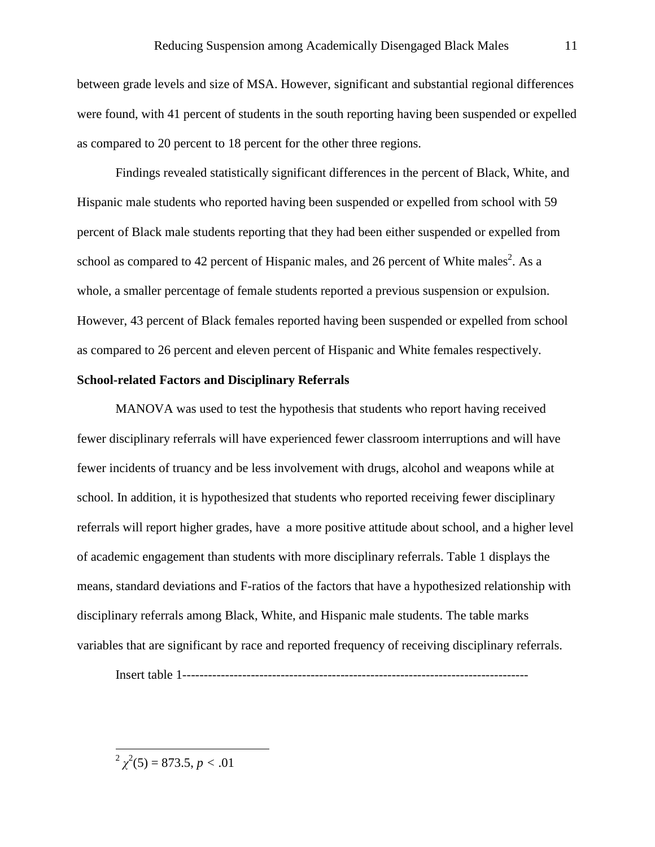between grade levels and size of MSA. However, significant and substantial regional differences were found, with 41 percent of students in the south reporting having been suspended or expelled as compared to 20 percent to 18 percent for the other three regions.

Findings revealed statistically significant differences in the percent of Black, White, and Hispanic male students who reported having been suspended or expelled from school with 59 percent of Black male students reporting that they had been either suspended or expelled from school as compared to 42 percent of Hispanic males, and 26 percent of White males<sup>2</sup>. As a whole, a smaller percentage of female students reported a previous suspension or expulsion. However, 43 percent of Black females reported having been suspended or expelled from school as compared to 26 percent and eleven percent of Hispanic and White females respectively.

# **School-related Factors and Disciplinary Referrals**

MANOVA was used to test the hypothesis that students who report having received fewer disciplinary referrals will have experienced fewer classroom interruptions and will have fewer incidents of truancy and be less involvement with drugs, alcohol and weapons while at school. In addition, it is hypothesized that students who reported receiving fewer disciplinary referrals will report higher grades, have a more positive attitude about school, and a higher level of academic engagement than students with more disciplinary referrals. Table 1 displays the means, standard deviations and F-ratios of the factors that have a hypothesized relationship with disciplinary referrals among Black, White, and Hispanic male students. The table marks variables that are significant by race and reported frequency of receiving disciplinary referrals.

Insert table 1---------------------------------------------------------------------------------

 $\frac{p^2}{\chi^2(5)} = 873.5, p < .01$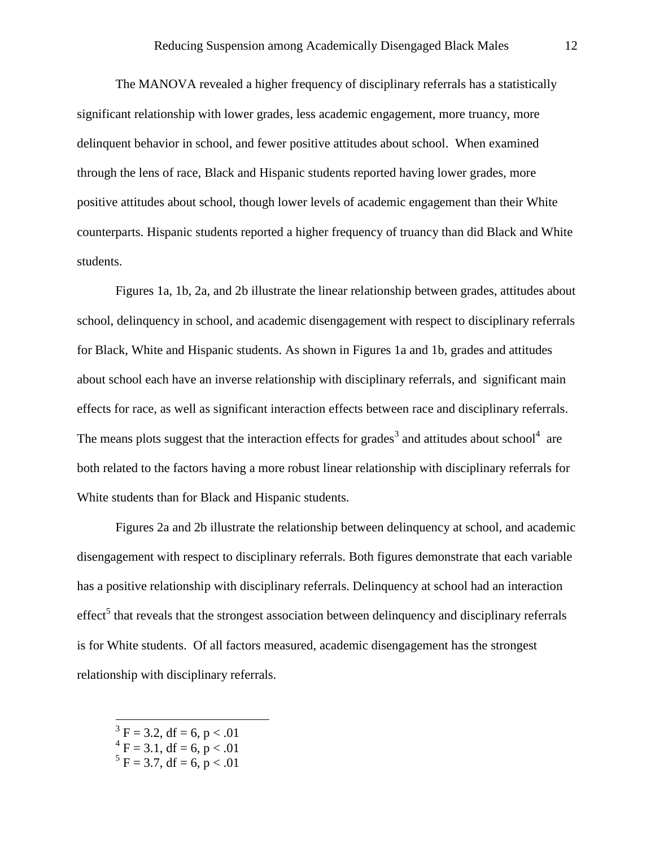The MANOVA revealed a higher frequency of disciplinary referrals has a statistically significant relationship with lower grades, less academic engagement, more truancy, more delinquent behavior in school, and fewer positive attitudes about school. When examined through the lens of race, Black and Hispanic students reported having lower grades, more positive attitudes about school, though lower levels of academic engagement than their White counterparts. Hispanic students reported a higher frequency of truancy than did Black and White students.

Figures 1a, 1b, 2a, and 2b illustrate the linear relationship between grades, attitudes about school, delinquency in school, and academic disengagement with respect to disciplinary referrals for Black, White and Hispanic students. As shown in Figures 1a and 1b, grades and attitudes about school each have an inverse relationship with disciplinary referrals, and significant main effects for race, as well as significant interaction effects between race and disciplinary referrals. The means plots suggest that the interaction effects for grades<sup>3</sup> and attitudes about school<sup>4</sup> are both related to the factors having a more robust linear relationship with disciplinary referrals for White students than for Black and Hispanic students.

Figures 2a and 2b illustrate the relationship between delinquency at school, and academic disengagement with respect to disciplinary referrals. Both figures demonstrate that each variable has a positive relationship with disciplinary referrals. Delinquency at school had an interaction  $effect<sup>5</sup>$  that reveals that the strongest association between delinquency and disciplinary referrals is for White students. Of all factors measured, academic disengagement has the strongest relationship with disciplinary referrals.

- $3 \text{ F} = 3.2$ , df = 6, p < .01
- $^{4}$  F = 3.1, df = 6, p < .01

 $\overline{a}$ 

 $5 F = 3.7$ , df = 6, p < .01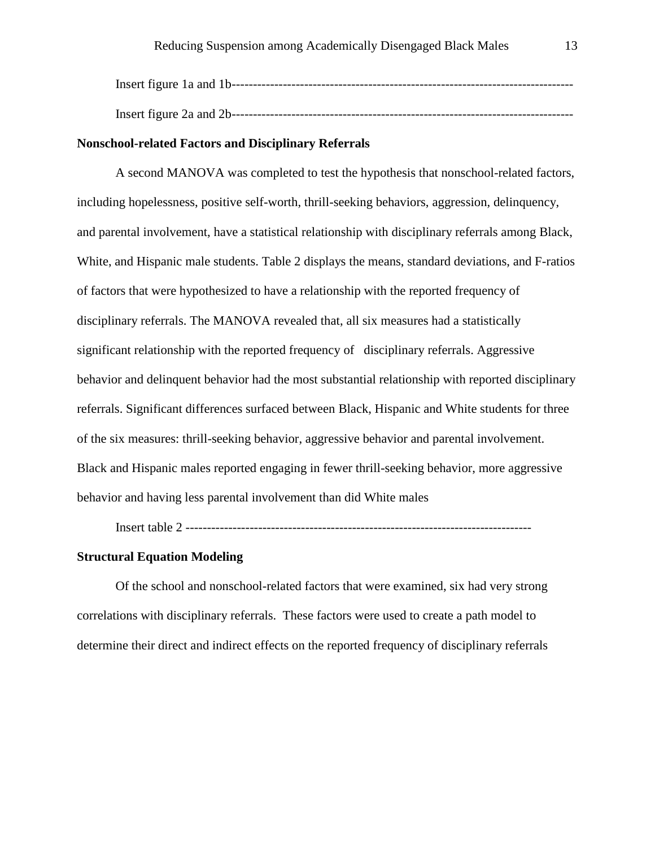#### **Nonschool-related Factors and Disciplinary Referrals**

A second MANOVA was completed to test the hypothesis that nonschool-related factors, including hopelessness, positive self-worth, thrill-seeking behaviors, aggression, delinquency, and parental involvement, have a statistical relationship with disciplinary referrals among Black, White, and Hispanic male students. Table 2 displays the means, standard deviations, and F-ratios of factors that were hypothesized to have a relationship with the reported frequency of disciplinary referrals. The MANOVA revealed that, all six measures had a statistically significant relationship with the reported frequency of disciplinary referrals. Aggressive behavior and delinquent behavior had the most substantial relationship with reported disciplinary referrals. Significant differences surfaced between Black, Hispanic and White students for three of the six measures: thrill-seeking behavior, aggressive behavior and parental involvement. Black and Hispanic males reported engaging in fewer thrill-seeking behavior, more aggressive behavior and having less parental involvement than did White males

Insert table 2 ---------------------------------------------------------------------------------

# **Structural Equation Modeling**

Of the school and nonschool-related factors that were examined, six had very strong correlations with disciplinary referrals. These factors were used to create a path model to determine their direct and indirect effects on the reported frequency of disciplinary referrals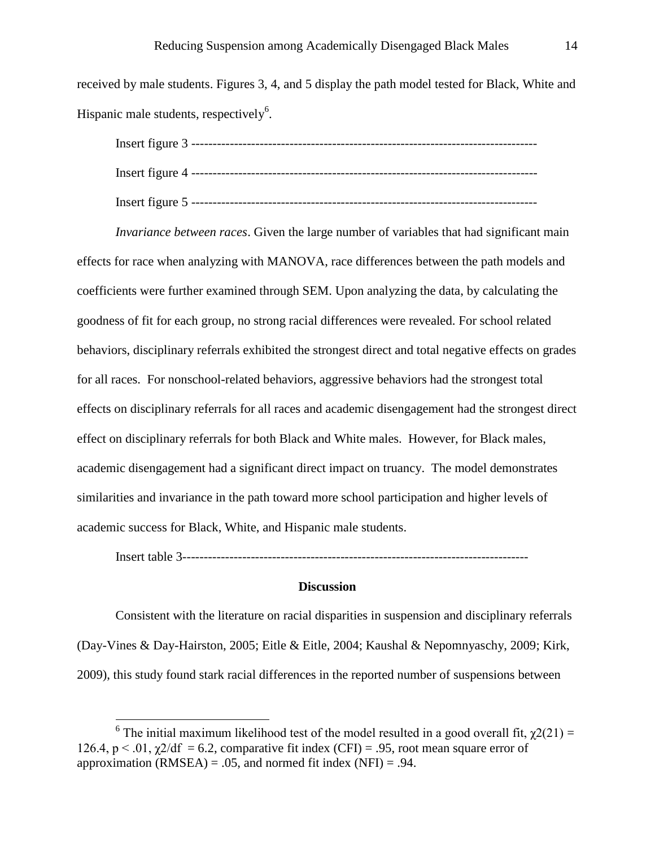received by male students. Figures 3, 4, and 5 display the path model tested for Black, White and Hispanic male students, respectively<sup>6</sup>.

| Insert figure $5$ ---- |  |
|------------------------|--|

*Invariance between races*. Given the large number of variables that had significant main effects for race when analyzing with MANOVA, race differences between the path models and coefficients were further examined through SEM. Upon analyzing the data, by calculating the goodness of fit for each group, no strong racial differences were revealed. For school related behaviors, disciplinary referrals exhibited the strongest direct and total negative effects on grades for all races. For nonschool-related behaviors, aggressive behaviors had the strongest total effects on disciplinary referrals for all races and academic disengagement had the strongest direct effect on disciplinary referrals for both Black and White males. However, for Black males, academic disengagement had a significant direct impact on truancy. The model demonstrates similarities and invariance in the path toward more school participation and higher levels of academic success for Black, White, and Hispanic male students.

Insert table 3---------------------------------------------------------------------------------

# **Discussion**

Consistent with the literature on racial disparities in suspension and disciplinary referrals (Day-Vines & Day-Hairston, 2005; Eitle & Eitle, 2004; Kaushal & Nepomnyaschy, 2009; Kirk, 2009), this study found stark racial differences in the reported number of suspensions between

<sup>&</sup>lt;sup>6</sup> The initial maximum likelihood test of the model resulted in a good overall fit,  $\chi^2(21) =$ 126.4,  $p < 0.01$ ,  $\gamma$ 2/df = 6.2, comparative fit index (CFI) = .95, root mean square error of approximation (RMSEA) = .05, and normed fit index (NFI) = .94.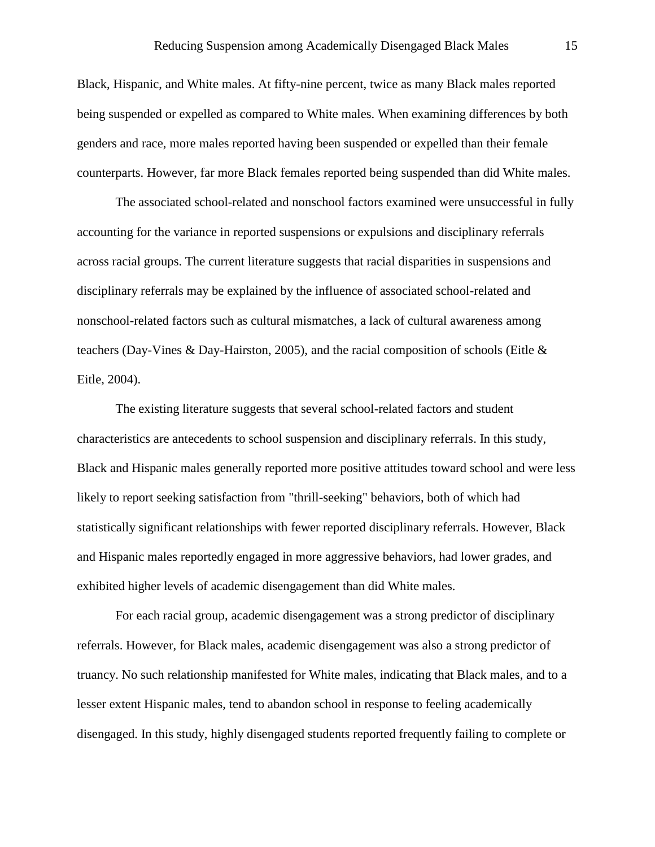Black, Hispanic, and White males. At fifty-nine percent, twice as many Black males reported being suspended or expelled as compared to White males. When examining differences by both genders and race, more males reported having been suspended or expelled than their female counterparts. However, far more Black females reported being suspended than did White males.

The associated school-related and nonschool factors examined were unsuccessful in fully accounting for the variance in reported suspensions or expulsions and disciplinary referrals across racial groups. The current literature suggests that racial disparities in suspensions and disciplinary referrals may be explained by the influence of associated school-related and nonschool-related factors such as cultural mismatches, a lack of cultural awareness among teachers (Day-Vines & Day-Hairston, 2005), and the racial composition of schools (Eitle & Eitle, 2004).

The existing literature suggests that several school-related factors and student characteristics are antecedents to school suspension and disciplinary referrals. In this study, Black and Hispanic males generally reported more positive attitudes toward school and were less likely to report seeking satisfaction from "thrill-seeking" behaviors, both of which had statistically significant relationships with fewer reported disciplinary referrals. However, Black and Hispanic males reportedly engaged in more aggressive behaviors, had lower grades, and exhibited higher levels of academic disengagement than did White males.

For each racial group, academic disengagement was a strong predictor of disciplinary referrals. However, for Black males, academic disengagement was also a strong predictor of truancy. No such relationship manifested for White males, indicating that Black males, and to a lesser extent Hispanic males, tend to abandon school in response to feeling academically disengaged. In this study, highly disengaged students reported frequently failing to complete or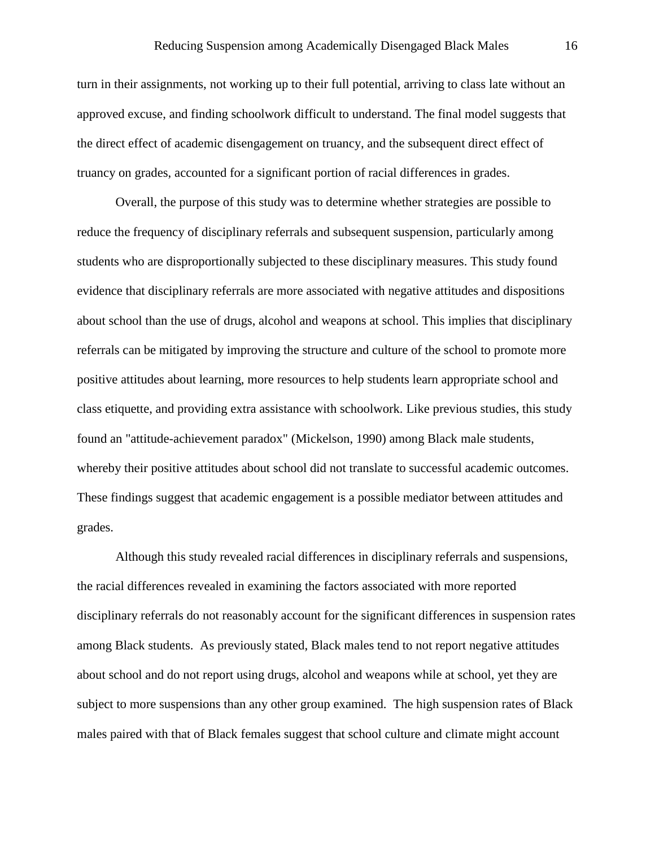turn in their assignments, not working up to their full potential, arriving to class late without an approved excuse, and finding schoolwork difficult to understand. The final model suggests that the direct effect of academic disengagement on truancy, and the subsequent direct effect of truancy on grades, accounted for a significant portion of racial differences in grades.

Overall, the purpose of this study was to determine whether strategies are possible to reduce the frequency of disciplinary referrals and subsequent suspension, particularly among students who are disproportionally subjected to these disciplinary measures. This study found evidence that disciplinary referrals are more associated with negative attitudes and dispositions about school than the use of drugs, alcohol and weapons at school. This implies that disciplinary referrals can be mitigated by improving the structure and culture of the school to promote more positive attitudes about learning, more resources to help students learn appropriate school and class etiquette, and providing extra assistance with schoolwork. Like previous studies, this study found an "attitude-achievement paradox" (Mickelson, 1990) among Black male students, whereby their positive attitudes about school did not translate to successful academic outcomes. These findings suggest that academic engagement is a possible mediator between attitudes and grades.

Although this study revealed racial differences in disciplinary referrals and suspensions, the racial differences revealed in examining the factors associated with more reported disciplinary referrals do not reasonably account for the significant differences in suspension rates among Black students. As previously stated, Black males tend to not report negative attitudes about school and do not report using drugs, alcohol and weapons while at school, yet they are subject to more suspensions than any other group examined. The high suspension rates of Black males paired with that of Black females suggest that school culture and climate might account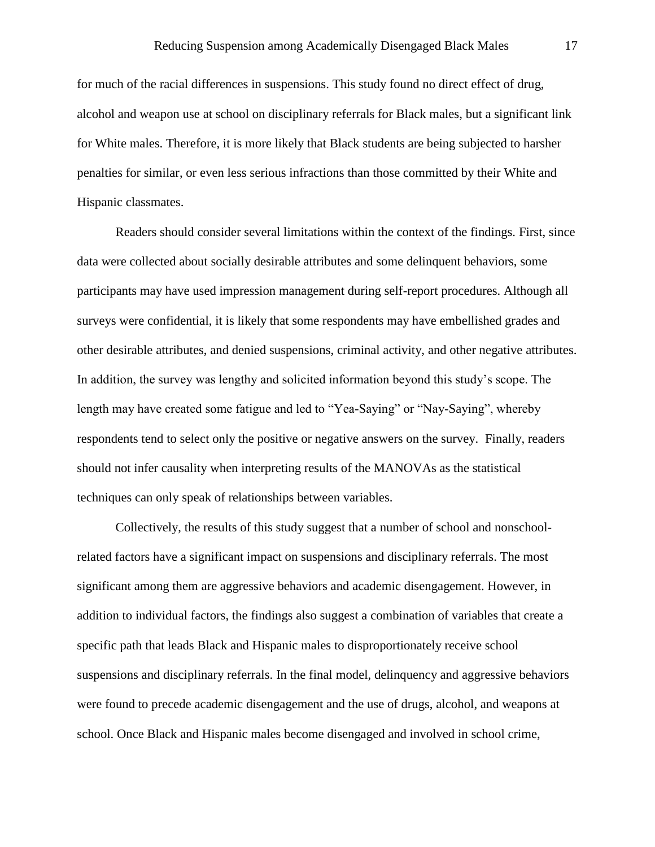for much of the racial differences in suspensions. This study found no direct effect of drug, alcohol and weapon use at school on disciplinary referrals for Black males, but a significant link for White males. Therefore, it is more likely that Black students are being subjected to harsher penalties for similar, or even less serious infractions than those committed by their White and Hispanic classmates.

Readers should consider several limitations within the context of the findings. First, since data were collected about socially desirable attributes and some delinquent behaviors, some participants may have used impression management during self-report procedures. Although all surveys were confidential, it is likely that some respondents may have embellished grades and other desirable attributes, and denied suspensions, criminal activity, and other negative attributes. In addition, the survey was lengthy and solicited information beyond this study's scope. The length may have created some fatigue and led to "Yea-Saying" or "Nay-Saying", whereby respondents tend to select only the positive or negative answers on the survey. Finally, readers should not infer causality when interpreting results of the MANOVAs as the statistical techniques can only speak of relationships between variables.

Collectively, the results of this study suggest that a number of school and nonschoolrelated factors have a significant impact on suspensions and disciplinary referrals. The most significant among them are aggressive behaviors and academic disengagement. However, in addition to individual factors, the findings also suggest a combination of variables that create a specific path that leads Black and Hispanic males to disproportionately receive school suspensions and disciplinary referrals. In the final model, delinquency and aggressive behaviors were found to precede academic disengagement and the use of drugs, alcohol, and weapons at school. Once Black and Hispanic males become disengaged and involved in school crime,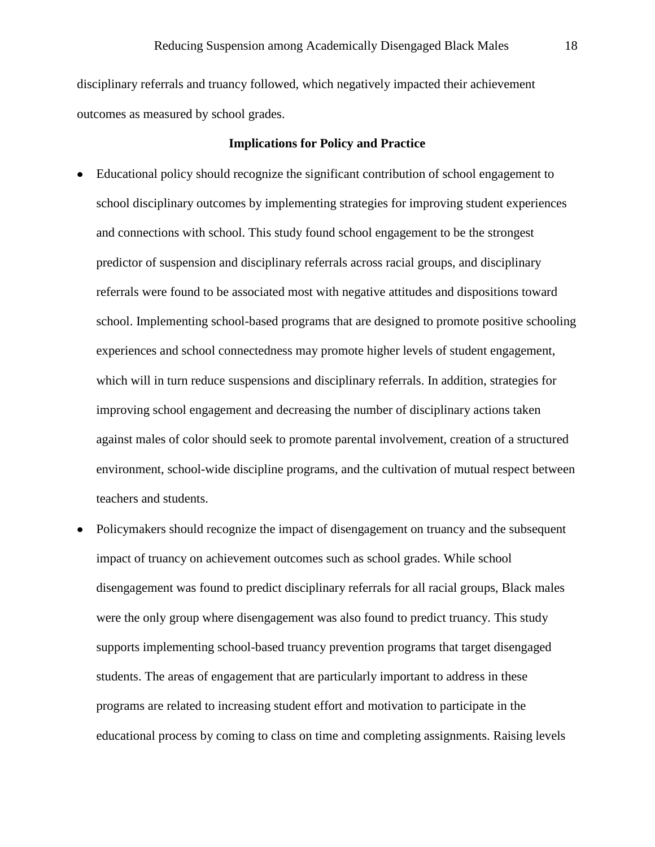disciplinary referrals and truancy followed, which negatively impacted their achievement outcomes as measured by school grades.

## **Implications for Policy and Practice**

- Educational policy should recognize the significant contribution of school engagement to school disciplinary outcomes by implementing strategies for improving student experiences and connections with school. This study found school engagement to be the strongest predictor of suspension and disciplinary referrals across racial groups, and disciplinary referrals were found to be associated most with negative attitudes and dispositions toward school. Implementing school-based programs that are designed to promote positive schooling experiences and school connectedness may promote higher levels of student engagement, which will in turn reduce suspensions and disciplinary referrals. In addition, strategies for improving school engagement and decreasing the number of disciplinary actions taken against males of color should seek to promote parental involvement, creation of a structured environment, school-wide discipline programs, and the cultivation of mutual respect between teachers and students.
- Policymakers should recognize the impact of disengagement on truancy and the subsequent impact of truancy on achievement outcomes such as school grades. While school disengagement was found to predict disciplinary referrals for all racial groups, Black males were the only group where disengagement was also found to predict truancy. This study supports implementing school-based truancy prevention programs that target disengaged students. The areas of engagement that are particularly important to address in these programs are related to increasing student effort and motivation to participate in the educational process by coming to class on time and completing assignments. Raising levels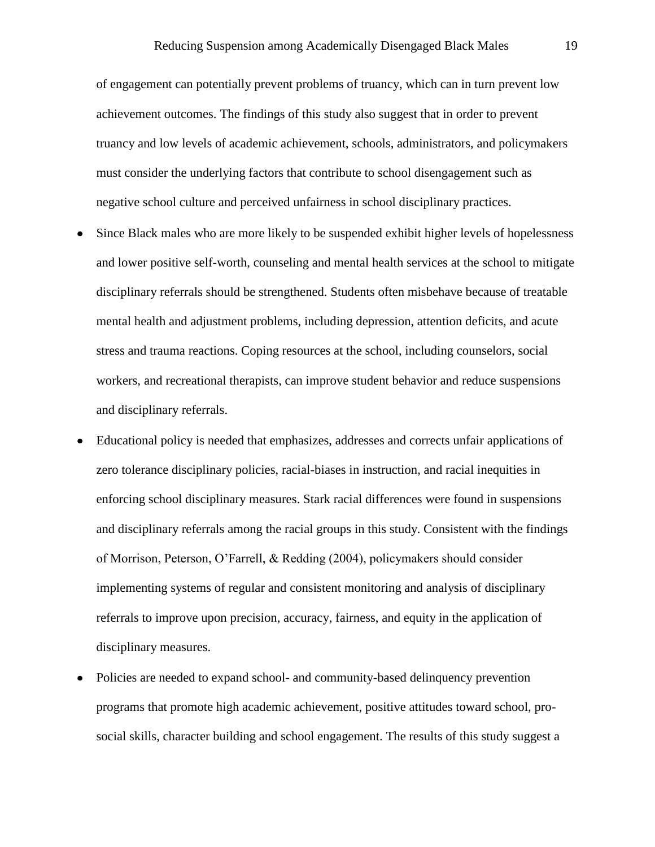of engagement can potentially prevent problems of truancy, which can in turn prevent low achievement outcomes. The findings of this study also suggest that in order to prevent truancy and low levels of academic achievement, schools, administrators, and policymakers must consider the underlying factors that contribute to school disengagement such as negative school culture and perceived unfairness in school disciplinary practices.

- Since Black males who are more likely to be suspended exhibit higher levels of hopelessness and lower positive self-worth, counseling and mental health services at the school to mitigate disciplinary referrals should be strengthened. Students often misbehave because of treatable mental health and adjustment problems, including depression, attention deficits, and acute stress and trauma reactions. Coping resources at the school, including counselors, social workers, and recreational therapists, can improve student behavior and reduce suspensions and disciplinary referrals.
- Educational policy is needed that emphasizes, addresses and corrects unfair applications of zero tolerance disciplinary policies, racial-biases in instruction, and racial inequities in enforcing school disciplinary measures. Stark racial differences were found in suspensions and disciplinary referrals among the racial groups in this study. Consistent with the findings of Morrison, Peterson, O'Farrell, & Redding (2004), policymakers should consider implementing systems of regular and consistent monitoring and analysis of disciplinary referrals to improve upon precision, accuracy, fairness, and equity in the application of disciplinary measures.
- Policies are needed to expand school- and community-based delinquency prevention programs that promote high academic achievement, positive attitudes toward school, prosocial skills, character building and school engagement. The results of this study suggest a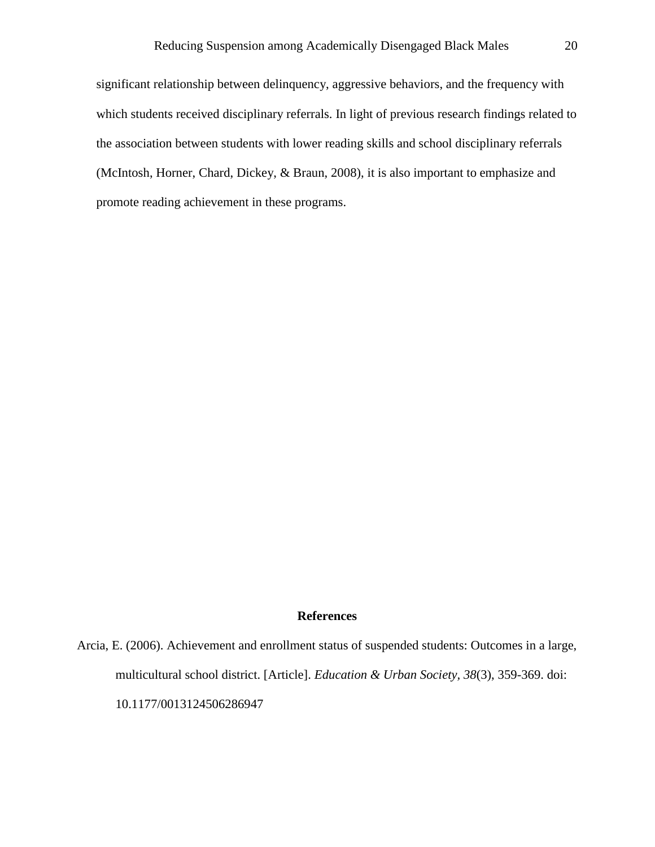significant relationship between delinquency, aggressive behaviors, and the frequency with which students received disciplinary referrals. In light of previous research findings related to the association between students with lower reading skills and school disciplinary referrals (McIntosh, Horner, Chard, Dickey, & Braun, 2008), it is also important to emphasize and promote reading achievement in these programs.

# **References**

Arcia, E. (2006). Achievement and enrollment status of suspended students: Outcomes in a large, multicultural school district. [Article]. *Education & Urban Society, 38*(3), 359-369. doi: 10.1177/0013124506286947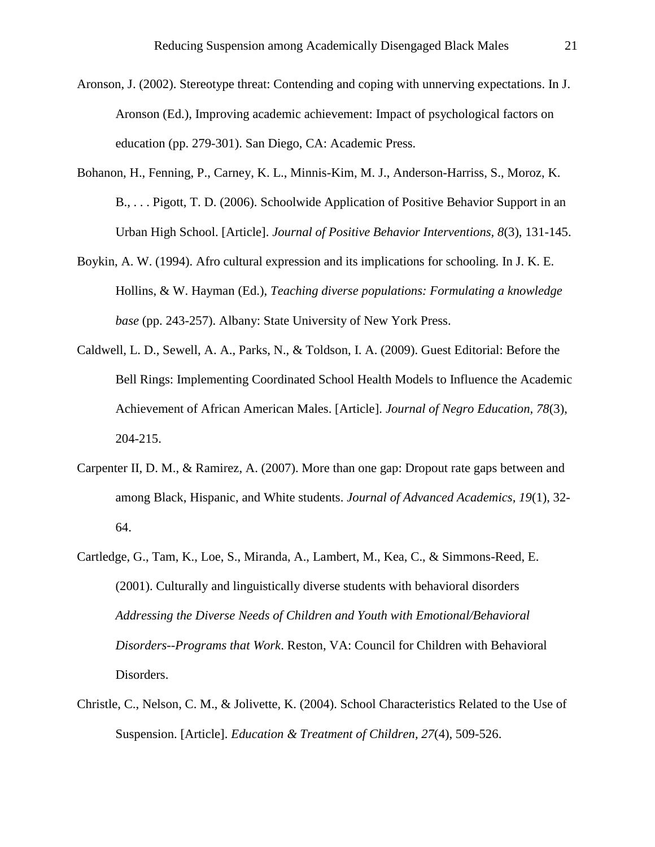- <span id="page-20-0"></span>Aronson, J. (2002). Stereotype threat: Contending and coping with unnerving expectations. In J. Aronson (Ed.), Improving academic achievement: Impact of psychological factors on education (pp. 279-301). San Diego, CA: Academic Press.
- Bohanon, H., Fenning, P., Carney, K. L., Minnis-Kim, M. J., Anderson-Harriss, S., Moroz, K. B., . . . Pigott, T. D. (2006). Schoolwide Application of Positive Behavior Support in an Urban High School. [Article]. *Journal of Positive Behavior Interventions, 8*(3), 131-145.
- Boykin, A. W. (1994). Afro cultural expression and its implications for schooling. In J. K. E. Hollins, & W. Hayman (Ed.), *Teaching diverse populations: Formulating a knowledge base* (pp. 243-257). Albany: State University of New York Press.
- Caldwell, L. D., Sewell, A. A., Parks, N., & Toldson, I. A. (2009). Guest Editorial: Before the Bell Rings: Implementing Coordinated School Health Models to Influence the Academic Achievement of African American Males. [Article]. *Journal of Negro Education, 78*(3), 204-215.
- Carpenter II, D. M., & Ramirez, A. (2007). More than one gap: Dropout rate gaps between and among Black, Hispanic, and White students. *Journal of Advanced Academics, 19*(1), 32- 64.
- Cartledge, G., Tam, K., Loe, S., Miranda, A., Lambert, M., Kea, C., & Simmons-Reed, E. (2001). Culturally and linguistically diverse students with behavioral disorders *Addressing the Diverse Needs of Children and Youth with Emotional/Behavioral Disorders--Programs that Work*. Reston, VA: Council for Children with Behavioral Disorders.
- Christle, C., Nelson, C. M., & Jolivette, K. (2004). School Characteristics Related to the Use of Suspension. [Article]. *Education & Treatment of Children, 27*(4), 509-526.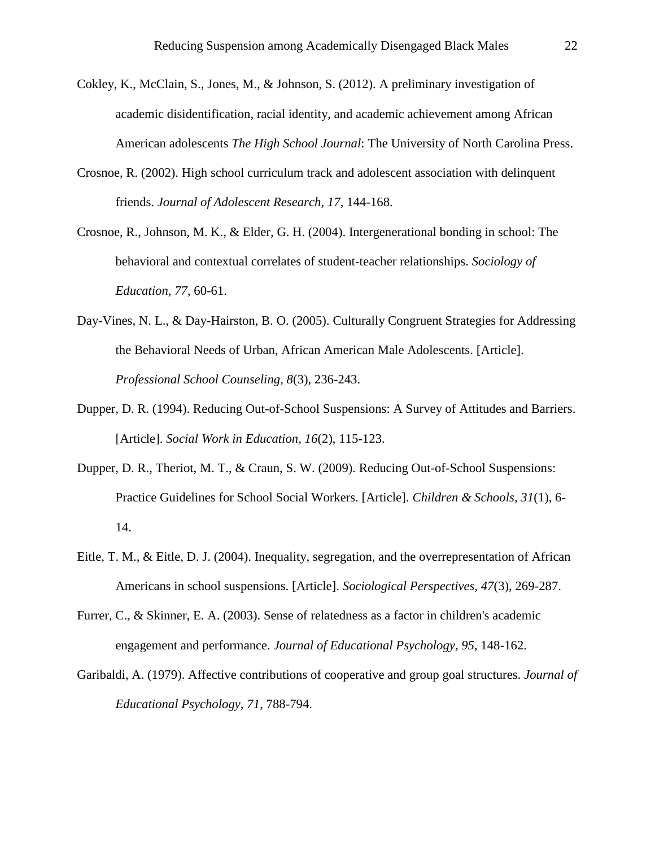- Cokley, K., McClain, S., Jones, M., & Johnson, S. (2012). A preliminary investigation of academic disidentification, racial identity, and academic achievement among African American adolescents *The High School Journal*: The University of North Carolina Press.
- Crosnoe, R. (2002). High school curriculum track and adolescent association with delinquent friends. *Journal of Adolescent Research, 17*, 144-168.
- Crosnoe, R., Johnson, M. K., & Elder, G. H. (2004). Intergenerational bonding in school: The behavioral and contextual correlates of student-teacher relationships. *Sociology of Education, 77*, 60-61.
- Day-Vines, N. L., & Day-Hairston, B. O. (2005). Culturally Congruent Strategies for Addressing the Behavioral Needs of Urban, African American Male Adolescents. [Article]. *Professional School Counseling, 8*(3), 236-243.
- Dupper, D. R. (1994). Reducing Out-of-School Suspensions: A Survey of Attitudes and Barriers. [Article]. *Social Work in Education, 16*(2), 115-123.
- Dupper, D. R., Theriot, M. T., & Craun, S. W. (2009). Reducing Out-of-School Suspensions: Practice Guidelines for School Social Workers. [Article]. *Children & Schools, 31*(1), 6- 14.
- Eitle, T. M., & Eitle, D. J. (2004). Inequality, segregation, and the overrepresentation of African Americans in school suspensions. [Article]. *Sociological Perspectives, 47*(3), 269-287.
- Furrer, C., & Skinner, E. A. (2003). Sense of relatedness as a factor in children's academic engagement and performance. *Journal of Educational Psychology, 95*, 148-162.
- Garibaldi, A. (1979). Affective contributions of cooperative and group goal structures. *Journal of Educational Psychology, 71*, 788-794.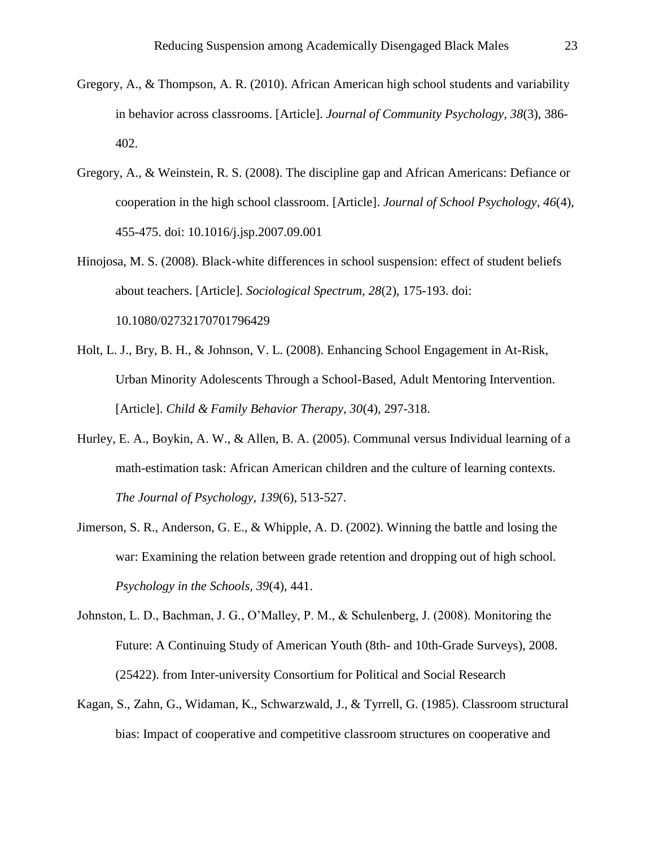- Gregory, A., & Thompson, A. R. (2010). African American high school students and variability in behavior across classrooms. [Article]. *Journal of Community Psychology, 38*(3), 386- 402.
- Gregory, A., & Weinstein, R. S. (2008). The discipline gap and African Americans: Defiance or cooperation in the high school classroom. [Article]. *Journal of School Psychology, 46*(4), 455-475. doi: 10.1016/j.jsp.2007.09.001
- Hinojosa, M. S. (2008). Black-white differences in school suspension: effect of student beliefs about teachers. [Article]. *Sociological Spectrum, 28*(2), 175-193. doi: 10.1080/02732170701796429
- Holt, L. J., Bry, B. H., & Johnson, V. L. (2008). Enhancing School Engagement in At-Risk, Urban Minority Adolescents Through a School-Based, Adult Mentoring Intervention. [Article]. *Child & Family Behavior Therapy, 30*(4), 297-318.
- Hurley, E. A., Boykin, A. W., & Allen, B. A. (2005). Communal versus Individual learning of a math-estimation task: African American children and the culture of learning contexts. *The Journal of Psychology, 139*(6), 513-527.
- Jimerson, S. R., Anderson, G. E., & Whipple, A. D. (2002). Winning the battle and losing the war: Examining the relation between grade retention and dropping out of high school. *Psychology in the Schools, 39*(4), 441.
- Johnston, L. D., Bachman, J. G., O'Malley, P. M., & Schulenberg, J. (2008). Monitoring the Future: A Continuing Study of American Youth (8th- and 10th-Grade Surveys), 2008. (25422). from Inter-university Consortium for Political and Social Research
- Kagan, S., Zahn, G., Widaman, K., Schwarzwald, J., & Tyrrell, G. (1985). Classroom structural bias: Impact of cooperative and competitive classroom structures on cooperative and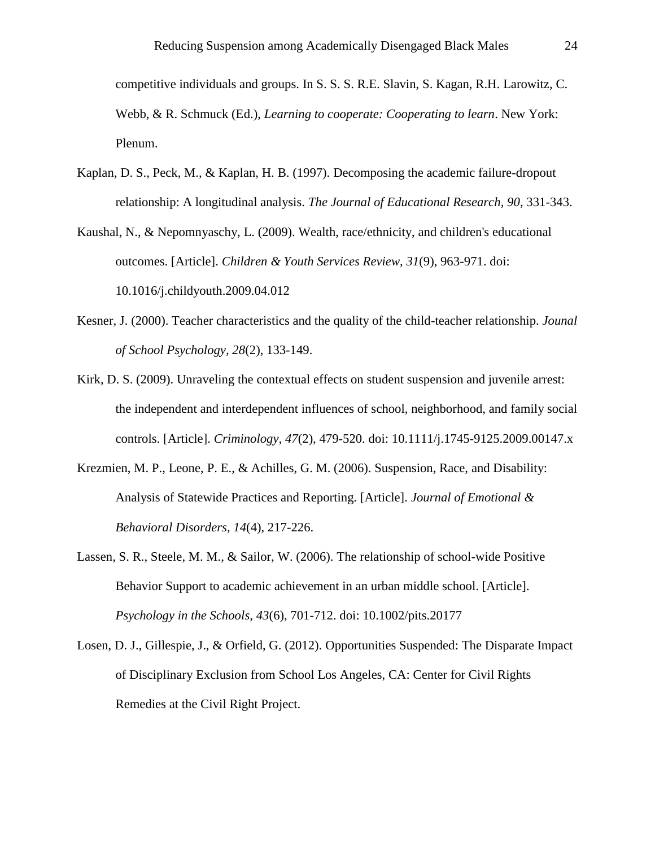competitive individuals and groups. In S. S. S. R.E. Slavin, S. Kagan, R.H. Larowitz, C. Webb, & R. Schmuck (Ed.), *Learning to cooperate: Cooperating to learn*. New York: Plenum.

- Kaplan, D. S., Peck, M., & Kaplan, H. B. (1997). Decomposing the academic failure-dropout relationship: A longitudinal analysis. *The Journal of Educational Research, 90*, 331-343.
- Kaushal, N., & Nepomnyaschy, L. (2009). Wealth, race/ethnicity, and children's educational outcomes. [Article]. *Children & Youth Services Review, 31*(9), 963-971. doi: 10.1016/j.childyouth.2009.04.012
- Kesner, J. (2000). Teacher characteristics and the quality of the child-teacher relationship. *Jounal of School Psychology, 28*(2), 133-149.
- Kirk, D. S. (2009). Unraveling the contextual effects on student suspension and juvenile arrest: the independent and interdependent influences of school, neighborhood, and family social controls. [Article]. *Criminology, 47*(2), 479-520. doi: 10.1111/j.1745-9125.2009.00147.x
- Krezmien, M. P., Leone, P. E., & Achilles, G. M. (2006). Suspension, Race, and Disability: Analysis of Statewide Practices and Reporting. [Article]. *Journal of Emotional & Behavioral Disorders, 14*(4), 217-226.
- Lassen, S. R., Steele, M. M., & Sailor, W. (2006). The relationship of school-wide Positive Behavior Support to academic achievement in an urban middle school. [Article]. *Psychology in the Schools, 43*(6), 701-712. doi: 10.1002/pits.20177
- Losen, D. J., Gillespie, J., & Orfield, G. (2012). Opportunities Suspended: The Disparate Impact of Disciplinary Exclusion from School Los Angeles, CA: Center for Civil Rights Remedies at the Civil Right Project.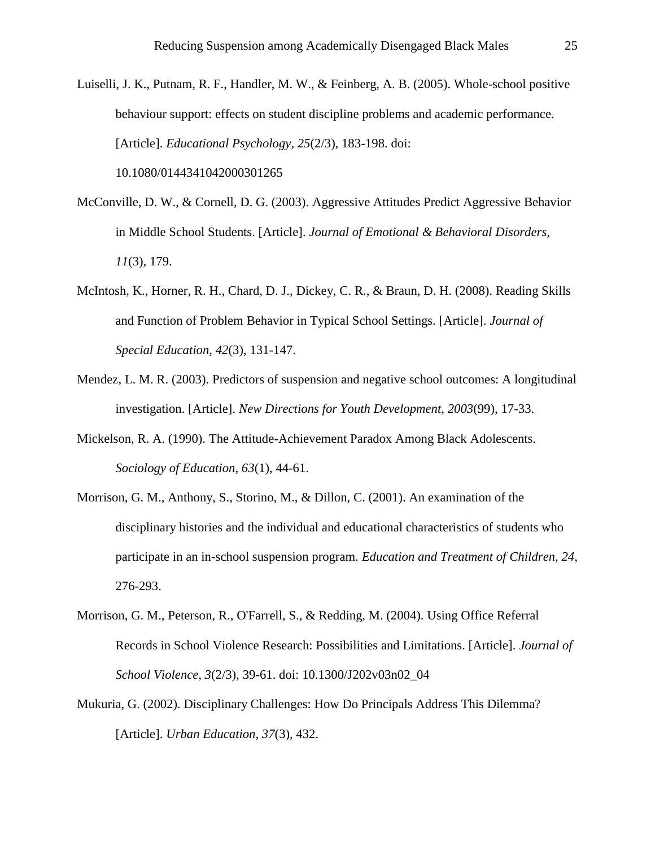Luiselli, J. K., Putnam, R. F., Handler, M. W., & Feinberg, A. B. (2005). Whole-school positive behaviour support: effects on student discipline problems and academic performance. [Article]. *Educational Psychology, 25*(2/3), 183-198. doi: 10.1080/0144341042000301265

- McConville, D. W., & Cornell, D. G. (2003). Aggressive Attitudes Predict Aggressive Behavior in Middle School Students. [Article]. *Journal of Emotional & Behavioral Disorders, 11*(3), 179.
- McIntosh, K., Horner, R. H., Chard, D. J., Dickey, C. R., & Braun, D. H. (2008). Reading Skills and Function of Problem Behavior in Typical School Settings. [Article]. *Journal of Special Education, 42*(3), 131-147.
- Mendez, L. M. R. (2003). Predictors of suspension and negative school outcomes: A longitudinal investigation. [Article]. *New Directions for Youth Development, 2003*(99), 17-33.
- Mickelson, R. A. (1990). The Attitude-Achievement Paradox Among Black Adolescents. *Sociology of Education, 63*(1), 44-61.
- Morrison, G. M., Anthony, S., Storino, M., & Dillon, C. (2001). An examination of the disciplinary histories and the individual and educational characteristics of students who participate in an in-school suspension program. *Education and Treatment of Children, 24*, 276-293.
- Morrison, G. M., Peterson, R., O'Farrell, S., & Redding, M. (2004). Using Office Referral Records in School Violence Research: Possibilities and Limitations. [Article]. *Journal of School Violence, 3*(2/3), 39-61. doi: 10.1300/J202v03n02\_04
- Mukuria, G. (2002). Disciplinary Challenges: How Do Principals Address This Dilemma? [Article]. *Urban Education, 37*(3), 432.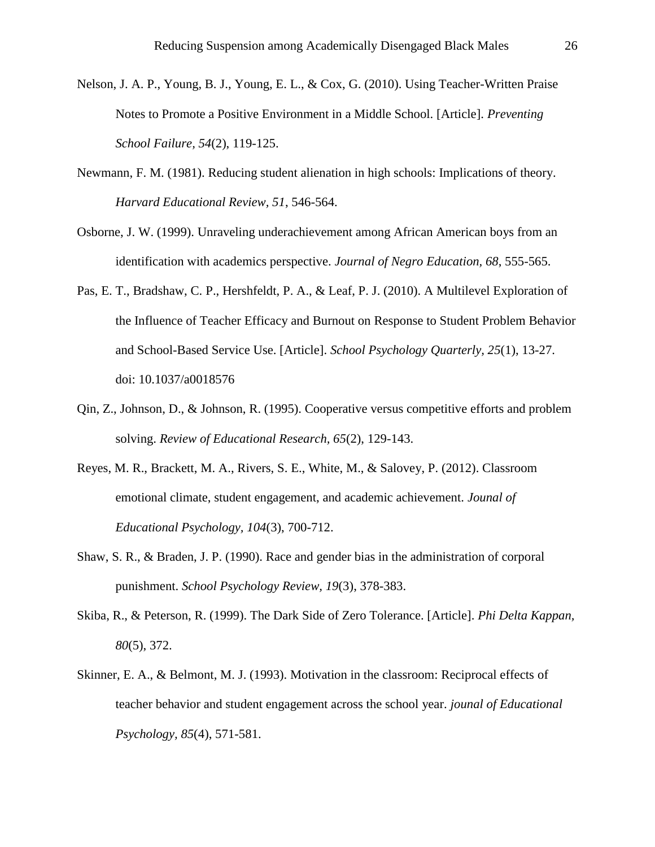- Nelson, J. A. P., Young, B. J., Young, E. L., & Cox, G. (2010). Using Teacher-Written Praise Notes to Promote a Positive Environment in a Middle School. [Article]. *Preventing School Failure, 54*(2), 119-125.
- Newmann, F. M. (1981). Reducing student alienation in high schools: Implications of theory. *Harvard Educational Review, 51*, 546-564.
- Osborne, J. W. (1999). Unraveling underachievement among African American boys from an identification with academics perspective. *Journal of Negro Education, 68*, 555-565.
- Pas, E. T., Bradshaw, C. P., Hershfeldt, P. A., & Leaf, P. J. (2010). A Multilevel Exploration of the Influence of Teacher Efficacy and Burnout on Response to Student Problem Behavior and School-Based Service Use. [Article]. *School Psychology Quarterly, 25*(1), 13-27. doi: 10.1037/a0018576
- Qin, Z., Johnson, D., & Johnson, R. (1995). Cooperative versus competitive efforts and problem solving. *Review of Educational Research, 65*(2), 129-143.
- Reyes, M. R., Brackett, M. A., Rivers, S. E., White, M., & Salovey, P. (2012). Classroom emotional climate, student engagement, and academic achievement. *Jounal of Educational Psychology, 104*(3), 700-712.
- Shaw, S. R., & Braden, J. P. (1990). Race and gender bias in the administration of corporal punishment. *School Psychology Review, 19*(3), 378-383.
- Skiba, R., & Peterson, R. (1999). The Dark Side of Zero Tolerance. [Article]. *Phi Delta Kappan, 80*(5), 372.
- Skinner, E. A., & Belmont, M. J. (1993). Motivation in the classroom: Reciprocal effects of teacher behavior and student engagement across the school year. *jounal of Educational Psychology, 85*(4), 571-581.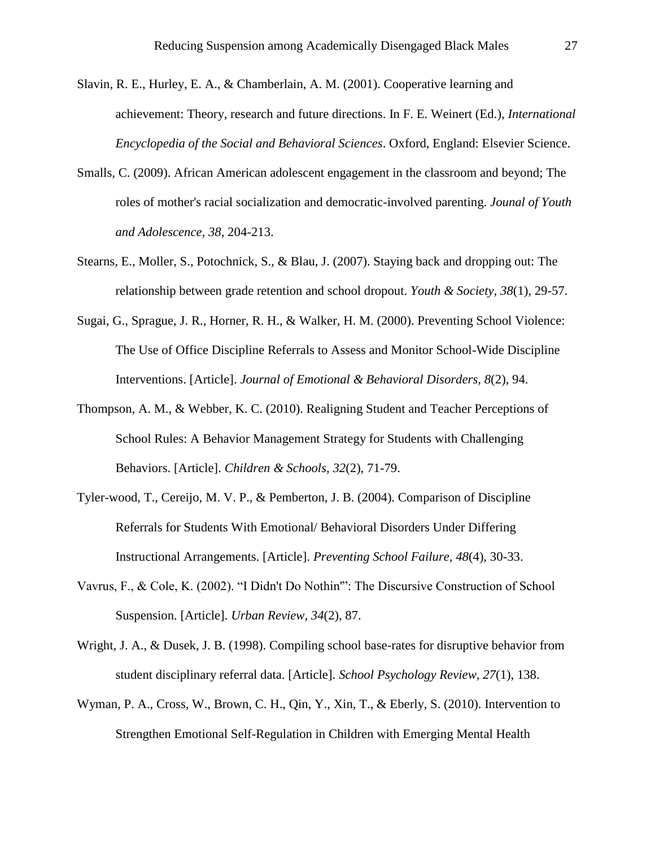- Slavin, R. E., Hurley, E. A., & Chamberlain, A. M. (2001). Cooperative learning and achievement: Theory, research and future directions. In F. E. Weinert (Ed.), *International Encyclopedia of the Social and Behavioral Sciences*. Oxford, England: Elsevier Science.
- Smalls, C. (2009). African American adolescent engagement in the classroom and beyond; The roles of mother's racial socialization and democratic-involved parenting. *Jounal of Youth and Adolescence, 38*, 204-213.
- Stearns, E., Moller, S., Potochnick, S., & Blau, J. (2007). Staying back and dropping out: The relationship between grade retention and school dropout. *Youth & Society, 38*(1), 29-57.
- Sugai, G., Sprague, J. R., Horner, R. H., & Walker, H. M. (2000). Preventing School Violence: The Use of Office Discipline Referrals to Assess and Monitor School-Wide Discipline Interventions. [Article]. *Journal of Emotional & Behavioral Disorders, 8*(2), 94.
- Thompson, A. M., & Webber, K. C. (2010). Realigning Student and Teacher Perceptions of School Rules: A Behavior Management Strategy for Students with Challenging Behaviors. [Article]. *Children & Schools, 32*(2), 71-79.
- Tyler-wood, T., Cereijo, M. V. P., & Pemberton, J. B. (2004). Comparison of Discipline Referrals for Students With Emotional/ Behavioral Disorders Under Differing Instructional Arrangements. [Article]. *Preventing School Failure, 48*(4), 30-33.
- Vavrus, F., & Cole, K. (2002). "I Didn't Do Nothin'": The Discursive Construction of School Suspension. [Article]. *Urban Review, 34*(2), 87.
- Wright, J. A., & Dusek, J. B. (1998). Compiling school base-rates for disruptive behavior from student disciplinary referral data. [Article]. *School Psychology Review, 27*(1), 138.
- Wyman, P. A., Cross, W., Brown, C. H., Qin, Y., Xin, T., & Eberly, S. (2010). Intervention to Strengthen Emotional Self-Regulation in Children with Emerging Mental Health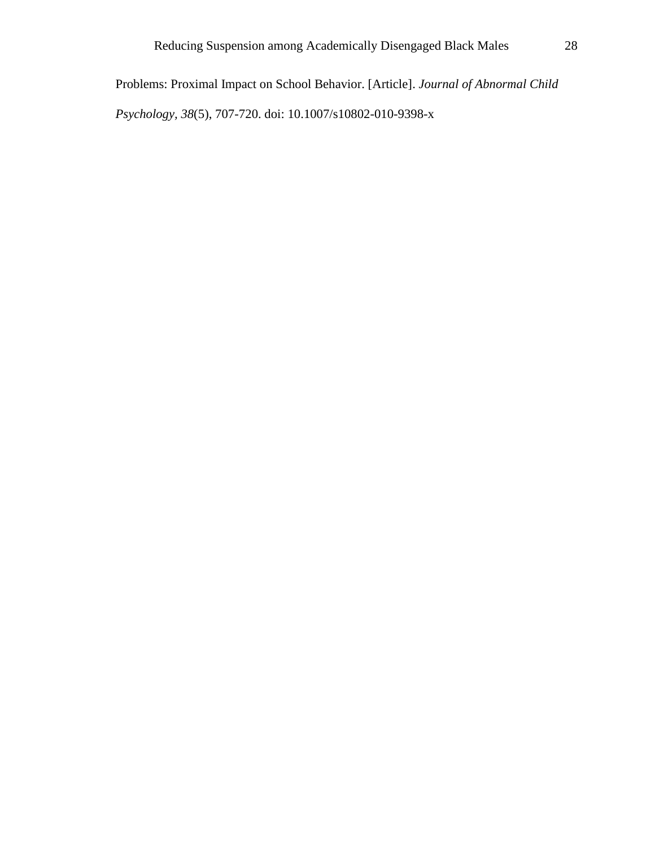Problems: Proximal Impact on School Behavior. [Article]. *Journal of Abnormal Child Psychology, 38*(5), 707-720. doi: 10.1007/s10802-010-9398-x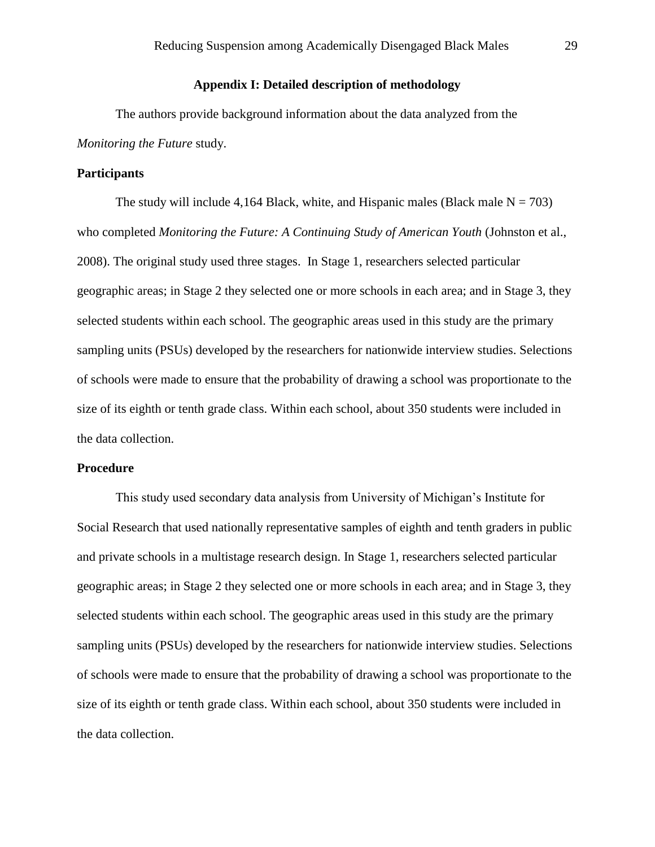# **Appendix I: Detailed description of methodology**

The authors provide background information about the data analyzed from the *Monitoring the Future* study.

## **Participants**

The study will include 4,164 Black, white, and Hispanic males (Black male  $N = 703$ ) who completed *Monitoring the Future: A Continuing Study of American Youth* (Johnston et al., 2008). The original study used three stages. In Stage 1, researchers selected particular geographic areas; in Stage 2 they selected one or more schools in each area; and in Stage 3, they selected students within each school. The geographic areas used in this study are the primary sampling units (PSUs) developed by the researchers for nationwide interview studies. Selections of schools were made to ensure that the probability of drawing a school was proportionate to the size of its eighth or tenth grade class. Within each school, about 350 students were included in the data collection.

## **Procedure**

This study used secondary data analysis from University of Michigan's Institute for Social Research that used nationally representative samples of eighth and tenth graders in public and private schools in a multistage research design. In Stage 1, researchers selected particular geographic areas; in Stage 2 they selected one or more schools in each area; and in Stage 3, they selected students within each school. The geographic areas used in this study are the primary sampling units (PSUs) developed by the researchers for nationwide interview studies. Selections of schools were made to ensure that the probability of drawing a school was proportionate to the size of its eighth or tenth grade class. Within each school, about 350 students were included in the data collection.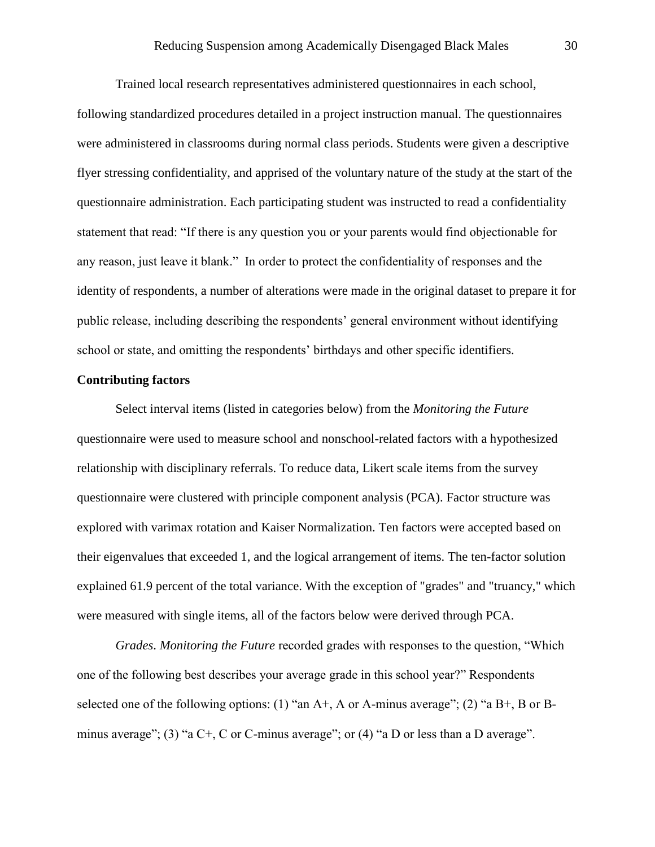Trained local research representatives administered questionnaires in each school, following standardized procedures detailed in a project instruction manual. The questionnaires were administered in classrooms during normal class periods. Students were given a descriptive flyer stressing confidentiality, and apprised of the voluntary nature of the study at the start of the questionnaire administration. Each participating student was instructed to read a confidentiality statement that read: "If there is any question you or your parents would find objectionable for any reason, just leave it blank." In order to protect the confidentiality of responses and the identity of respondents, a number of alterations were made in the original dataset to prepare it for public release, including describing the respondents' general environment without identifying school or state, and omitting the respondents' birthdays and other specific identifiers.

### **Contributing factors**

Select interval items (listed in categories below) from the *Monitoring the Future* questionnaire were used to measure school and nonschool-related factors with a hypothesized relationship with disciplinary referrals. To reduce data, Likert scale items from the survey questionnaire were clustered with principle component analysis (PCA). Factor structure was explored with varimax rotation and Kaiser Normalization. Ten factors were accepted based on their eigenvalues that exceeded 1, and the logical arrangement of items. The ten-factor solution explained 61.9 percent of the total variance. With the exception of "grades" and "truancy," which were measured with single items, all of the factors below were derived through PCA.

*Grades*. *Monitoring the Future* recorded grades with responses to the question, "Which one of the following best describes your average grade in this school year?" Respondents selected one of the following options: (1) "an  $A<sup>+</sup>$ , A or A-minus average"; (2) "a  $B<sup>+</sup>$ , B or Bminus average"; (3) "a  $C+$ , C or C-minus average"; or (4) "a D or less than a D average".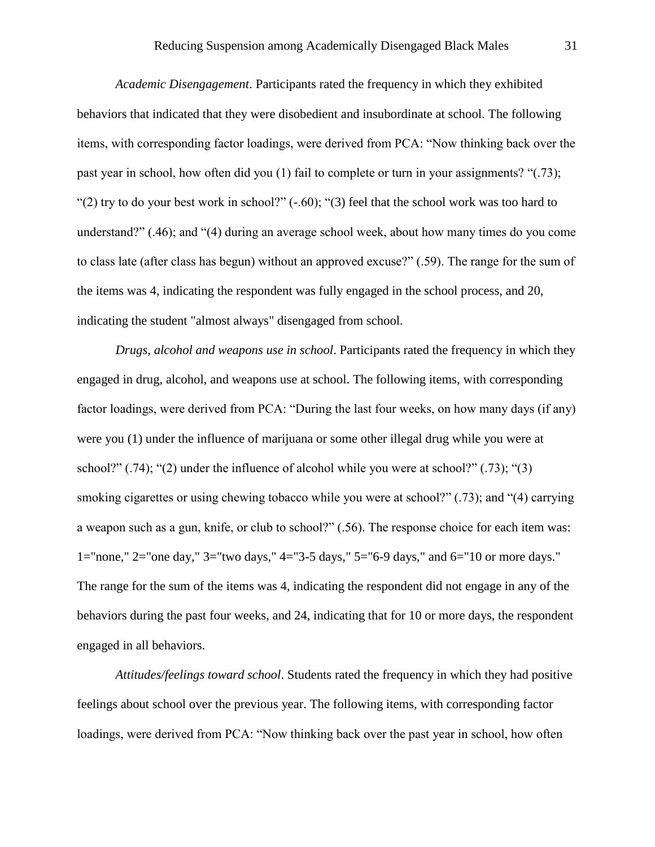*Academic Disengagement*. Participants rated the frequency in which they exhibited behaviors that indicated that they were disobedient and insubordinate at school. The following items, with corresponding factor loadings, were derived from PCA: "Now thinking back over the past year in school, how often did you (1) fail to complete or turn in your assignments? "(.73); "(2) try to do your best work in school?"  $(-.60)$ ; "(3) feel that the school work was too hard to understand?" (.46); and "(4) during an average school week, about how many times do you come to class late (after class has begun) without an approved excuse?" (.59). The range for the sum of the items was 4, indicating the respondent was fully engaged in the school process, and 20, indicating the student "almost always" disengaged from school.

*Drugs, alcohol and weapons use in school*. Participants rated the frequency in which they engaged in drug, alcohol, and weapons use at school. The following items, with corresponding factor loadings, were derived from PCA: "During the last four weeks, on how many days (if any) were you (1) under the influence of marijuana or some other illegal drug while you were at school?"  $(.74)$ ; " $(2)$  under the influence of alcohol while you were at school?"  $(.73)$ ; " $(3)$ smoking cigarettes or using chewing tobacco while you were at school?" (.73); and "(4) carrying a weapon such as a gun, knife, or club to school?" (.56). The response choice for each item was: 1="none," 2="one day," 3="two days," 4="3-5 days," 5="6-9 days," and 6="10 or more days." The range for the sum of the items was 4, indicating the respondent did not engage in any of the behaviors during the past four weeks, and 24, indicating that for 10 or more days, the respondent engaged in all behaviors.

*Attitudes/feelings toward school*. Students rated the frequency in which they had positive feelings about school over the previous year. The following items, with corresponding factor loadings, were derived from PCA: "Now thinking back over the past year in school, how often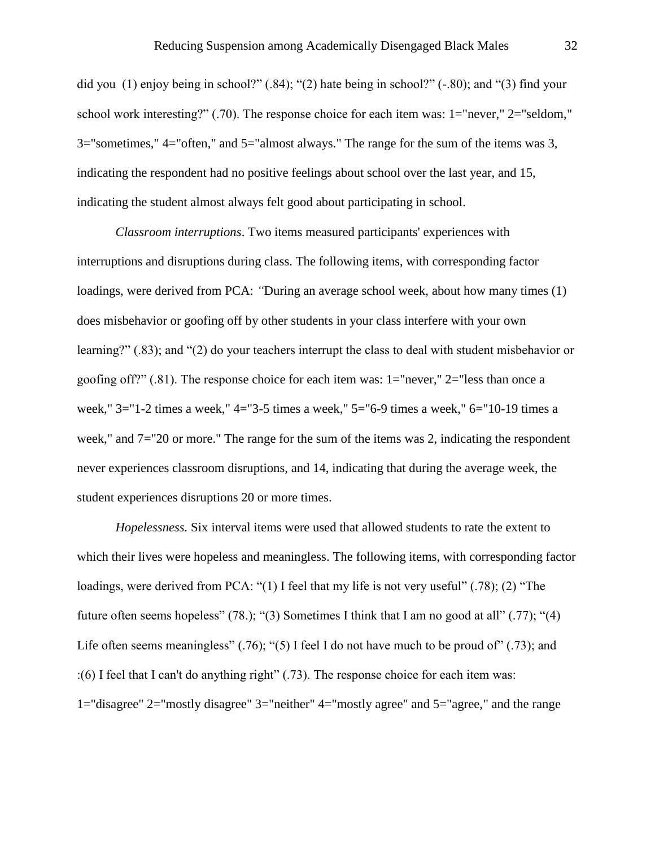did you (1) enjoy being in school?" (.84); "(2) hate being in school?" (-.80); and "(3) find your school work interesting?" (.70). The response choice for each item was: 1="never," 2="seldom," 3="sometimes," 4="often," and 5="almost always." The range for the sum of the items was 3, indicating the respondent had no positive feelings about school over the last year, and 15, indicating the student almost always felt good about participating in school.

*Classroom interruptions*. Two items measured participants' experiences with interruptions and disruptions during class. The following items, with corresponding factor loadings, were derived from PCA: *"*During an average school week, about how many times (1) does misbehavior or goofing off by other students in your class interfere with your own learning?" (.83); and "(2) do your teachers interrupt the class to deal with student misbehavior or goofing off?" (.81). The response choice for each item was: 1="never," 2="less than once a week," 3="1-2 times a week," 4="3-5 times a week," 5="6-9 times a week," 6="10-19 times a week," and 7="20 or more." The range for the sum of the items was 2, indicating the respondent never experiences classroom disruptions, and 14, indicating that during the average week, the student experiences disruptions 20 or more times.

*Hopelessness.* Six interval items were used that allowed students to rate the extent to which their lives were hopeless and meaningless. The following items, with corresponding factor loadings, were derived from PCA: "(1) I feel that my life is not very useful" (.78); (2) "The future often seems hopeless" (78.); "(3) Sometimes I think that I am no good at all" (.77); "(4) Life often seems meaningless"  $(.76)$ ; "(5) I feel I do not have much to be proud of"  $(.73)$ ; and :(6) I feel that I can't do anything right" (.73). The response choice for each item was: 1="disagree" 2="mostly disagree" 3="neither" 4="mostly agree" and 5="agree," and the range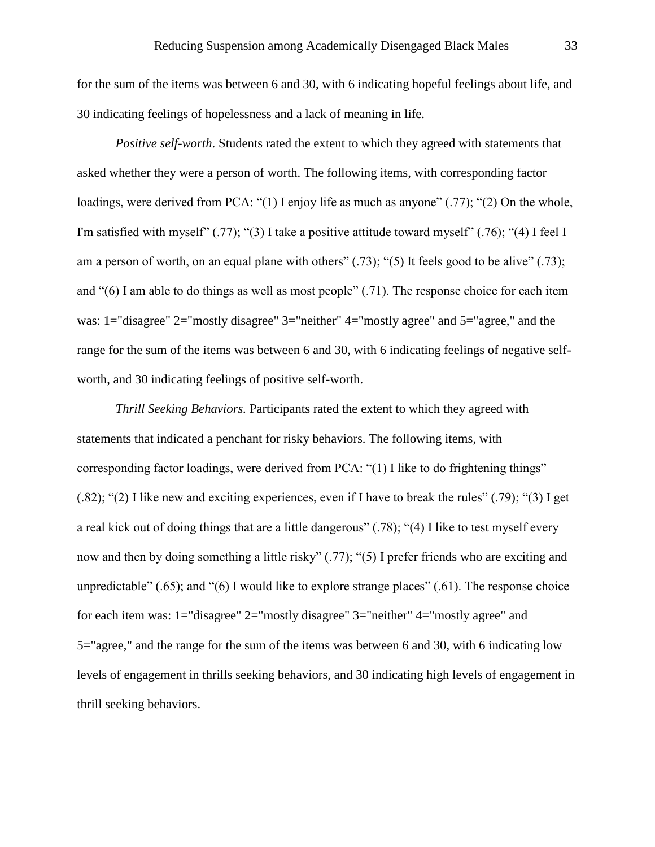for the sum of the items was between 6 and 30, with 6 indicating hopeful feelings about life, and 30 indicating feelings of hopelessness and a lack of meaning in life.

*Positive self-worth*. Students rated the extent to which they agreed with statements that asked whether they were a person of worth. The following items, with corresponding factor loadings, were derived from PCA: "(1) I enjoy life as much as anyone" (.77); "(2) On the whole, I'm satisfied with myself" (.77); "(3) I take a positive attitude toward myself" (.76); "(4) I feel I am a person of worth, on an equal plane with others"  $(.73)$ ; " $(5)$  It feels good to be alive"  $(.73)$ ; and "(6) I am able to do things as well as most people" (.71). The response choice for each item was: 1="disagree" 2="mostly disagree" 3="neither" 4="mostly agree" and 5="agree," and the range for the sum of the items was between 6 and 30, with 6 indicating feelings of negative selfworth, and 30 indicating feelings of positive self-worth.

*Thrill Seeking Behaviors.* Participants rated the extent to which they agreed with statements that indicated a penchant for risky behaviors. The following items, with corresponding factor loadings, were derived from PCA: "(1) I like to do frightening things" (.82); "(2) I like new and exciting experiences, even if I have to break the rules" (.79); "(3) I get a real kick out of doing things that are a little dangerous" (.78); "(4) I like to test myself every now and then by doing something a little risky" (.77); "(5) I prefer friends who are exciting and unpredictable" (.65); and "(6) I would like to explore strange places" (.61). The response choice for each item was: 1="disagree" 2="mostly disagree" 3="neither" 4="mostly agree" and 5="agree," and the range for the sum of the items was between 6 and 30, with 6 indicating low levels of engagement in thrills seeking behaviors, and 30 indicating high levels of engagement in thrill seeking behaviors.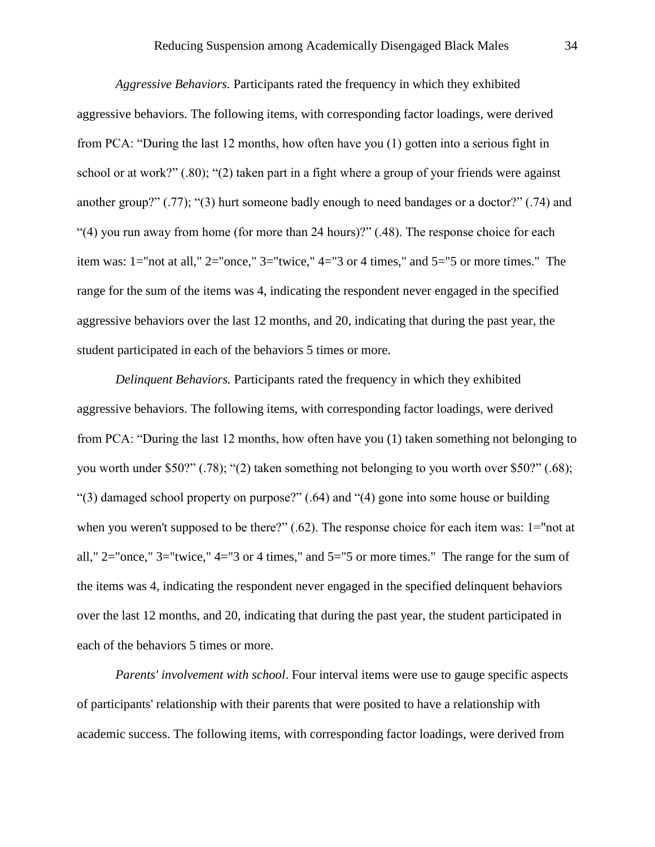*Aggressive Behaviors.* Participants rated the frequency in which they exhibited aggressive behaviors. The following items, with corresponding factor loadings, were derived from PCA: "During the last 12 months, how often have you (1) gotten into a serious fight in school or at work?" (.80); "(2) taken part in a fight where a group of your friends were against another group?" (.77); "(3) hurt someone badly enough to need bandages or a doctor?" (.74) and "(4) you run away from home (for more than 24 hours)?" (.48). The response choice for each item was: 1="not at all," 2="once," 3="twice," 4="3 or 4 times," and 5="5 or more times." The range for the sum of the items was 4, indicating the respondent never engaged in the specified aggressive behaviors over the last 12 months, and 20, indicating that during the past year, the student participated in each of the behaviors 5 times or more.

*Delinquent Behaviors.* Participants rated the frequency in which they exhibited aggressive behaviors. The following items, with corresponding factor loadings, were derived from PCA: "During the last 12 months, how often have you (1) taken something not belonging to you worth under \$50?" (.78); "(2) taken something not belonging to you worth over \$50?" (.68); "(3) damaged school property on purpose?" (.64) and "(4) gone into some house or building when you weren't supposed to be there?" (.62). The response choice for each item was: 1="not at all,"  $2=$ "once,"  $3=$ "twice,"  $4=$ "3 or 4 times," and  $5=$ "5 or more times." The range for the sum of the items was 4, indicating the respondent never engaged in the specified delinquent behaviors over the last 12 months, and 20, indicating that during the past year, the student participated in each of the behaviors 5 times or more.

*Parents' involvement with school*. Four interval items were use to gauge specific aspects of participants' relationship with their parents that were posited to have a relationship with academic success. The following items, with corresponding factor loadings, were derived from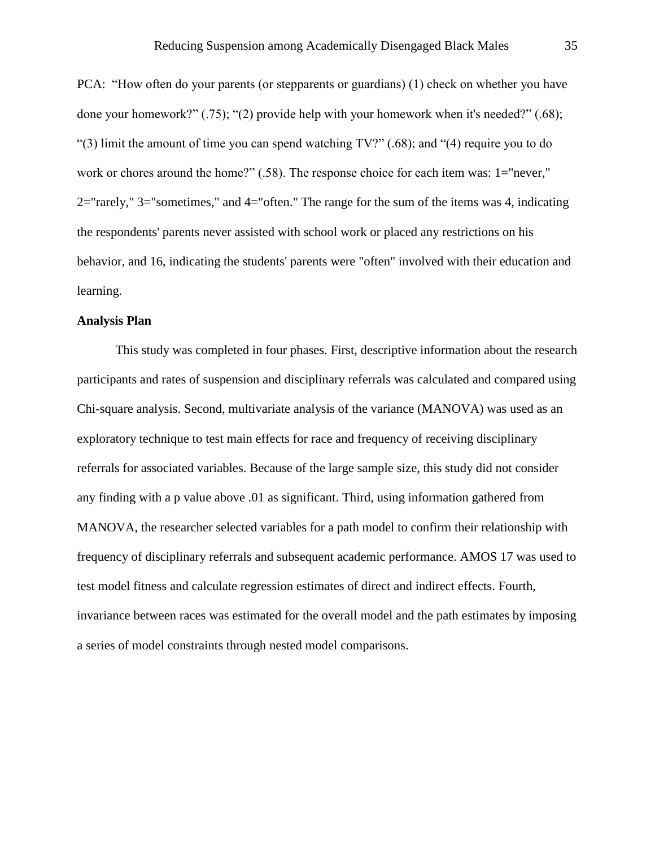PCA: "How often do your parents (or stepparents or guardians) (1) check on whether you have done your homework?" (.75); "(2) provide help with your homework when it's needed?" (.68); "(3) limit the amount of time you can spend watching TV?" (.68); and "(4) require you to do work or chores around the home?" (.58). The response choice for each item was: 1="never," 2="rarely," 3="sometimes," and 4="often." The range for the sum of the items was 4, indicating the respondents' parents never assisted with school work or placed any restrictions on his behavior, and 16, indicating the students' parents were "often" involved with their education and learning.

## **Analysis Plan**

This study was completed in four phases. First, descriptive information about the research participants and rates of suspension and disciplinary referrals was calculated and compared using Chi-square analysis. Second, multivariate analysis of the variance (MANOVA) was used as an exploratory technique to test main effects for race and frequency of receiving disciplinary referrals for associated variables. Because of the large sample size, this study did not consider any finding with a p value above .01 as significant. Third, using information gathered from MANOVA, the researcher selected variables for a path model to confirm their relationship with frequency of disciplinary referrals and subsequent academic performance. AMOS 17 was used to test model fitness and calculate regression estimates of direct and indirect effects. Fourth, invariance between races was estimated for the overall model and the path estimates by imposing a series of model constraints through nested model comparisons.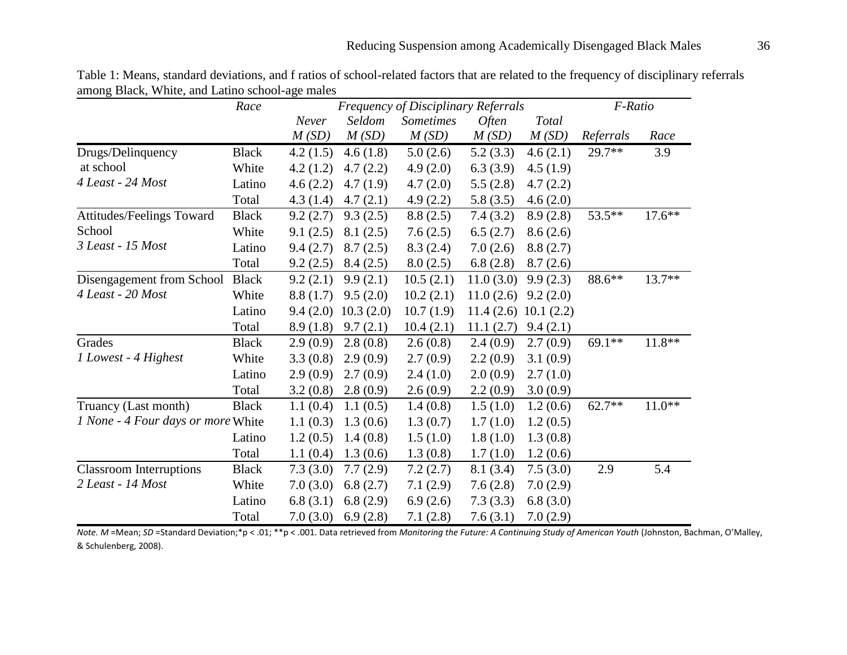|                                    | Race         | <b>Frequency of Disciplinary Referrals</b> |                       |                  |              |           | F-Ratio   |          |
|------------------------------------|--------------|--------------------------------------------|-----------------------|------------------|--------------|-----------|-----------|----------|
|                                    |              | Never                                      | Seldom                | <b>Sometimes</b> | <i>Often</i> | Total     |           |          |
|                                    |              | M(SD)                                      | M(SD)                 | M(SD)            | M(SD)        | M(SD)     | Referrals | Race     |
| Drugs/Delinquency                  | <b>Black</b> | 4.2(1.5)                                   | 4.6(1.8)              | 5.0(2.6)         | 5.2(3.3)     | 4.6(2.1)  | $29.7**$  | 3.9      |
| at school                          | White        | 4.2(1.2)                                   | 4.7(2.2)              | 4.9(2.0)         | 6.3(3.9)     | 4.5(1.9)  |           |          |
| 4 Least - 24 Most                  | Latino       | 4.6(2.2)                                   | 4.7(1.9)              | 4.7(2.0)         | 5.5(2.8)     | 4.7(2.2)  |           |          |
|                                    | Total        | 4.3(1.4)                                   | 4.7(2.1)              | 4.9(2.2)         | 5.8(3.5)     | 4.6(2.0)  |           |          |
| Attitudes/Feelings Toward          | <b>Black</b> | 9.2(2.7)                                   | 9.3(2.5)              | 8.8(2.5)         | 7.4(3.2)     | 8.9(2.8)  | 53.5**    | $17.6**$ |
| School                             | White        | 9.1(2.5)                                   | 8.1(2.5)              | 7.6(2.5)         | 6.5(2.7)     | 8.6(2.6)  |           |          |
| 3 Least - 15 Most                  | Latino       | 9.4(2.7)                                   | 8.7(2.5)              | 8.3(2.4)         | 7.0(2.6)     | 8.8(2.7)  |           |          |
|                                    | Total        | 9.2(2.5)                                   | 8.4(2.5)              | 8.0(2.5)         | 6.8(2.8)     | 8.7(2.6)  |           |          |
| Disengagement from School          | <b>Black</b> | 9.2(2.1)                                   | 9.9(2.1)              | 10.5(2.1)        | 11.0(3.0)    | 9.9(2.3)  | 88.6**    | 13.7**   |
| 4 Least - 20 Most                  | White        | 8.8(1.7)                                   | 9.5(2.0)              | 10.2(2.1)        | 11.0(2.6)    | 9.2(2.0)  |           |          |
|                                    | Latino       |                                            | $9.4(2.0)$ 10.3 (2.0) | 10.7(1.9)        | 11.4(2.6)    | 10.1(2.2) |           |          |
|                                    | Total        | 8.9(1.8)                                   | 9.7(2.1)              | 10.4(2.1)        | 11.1(2.7)    | 9.4(2.1)  |           |          |
| Grades                             | <b>Black</b> | 2.9(0.9)                                   | 2.8(0.8)              | 2.6(0.8)         | 2.4(0.9)     | 2.7(0.9)  | $69.1**$  | $11.8**$ |
| 1 Lowest - 4 Highest               | White        | 3.3(0.8)                                   | 2.9(0.9)              | 2.7(0.9)         | 2.2(0.9)     | 3.1(0.9)  |           |          |
|                                    | Latino       | 2.9(0.9)                                   | 2.7(0.9)              | 2.4(1.0)         | 2.0(0.9)     | 2.7(1.0)  |           |          |
|                                    | Total        | 3.2(0.8)                                   | 2.8(0.9)              | 2.6(0.9)         | 2.2(0.9)     | 3.0(0.9)  |           |          |
| Truancy (Last month)               | <b>Black</b> | 1.1(0.4)                                   | 1.1(0.5)              | 1.4(0.8)         | 1.5(1.0)     | 1.2(0.6)  | $62.7**$  | $11.0**$ |
| 1 None - 4 Four days or more White |              | 1.1(0.3)                                   | 1.3(0.6)              | 1.3(0.7)         | 1.7(1.0)     | 1.2(0.5)  |           |          |
|                                    | Latino       | 1.2(0.5)                                   | 1.4(0.8)              | 1.5(1.0)         | 1.8(1.0)     | 1.3(0.8)  |           |          |
|                                    | Total        | 1.1(0.4)                                   | 1.3(0.6)              | 1.3(0.8)         | 1.7(1.0)     | 1.2(0.6)  |           |          |
| <b>Classroom Interruptions</b>     | <b>Black</b> | 7.3(3.0)                                   | 7.7(2.9)              | 7.2(2.7)         | 8.1(3.4)     | 7.5(3.0)  | 2.9       | 5.4      |
| 2 Least - 14 Most                  | White        | 7.0(3.0)                                   | 6.8(2.7)              | 7.1(2.9)         | 7.6(2.8)     | 7.0(2.9)  |           |          |
|                                    | Latino       | 6.8(3.1)                                   | 6.8(2.9)              | 6.9(2.6)         | 7.3(3.3)     | 6.8(3.0)  |           |          |
|                                    | Total        | 7.0(3.0)                                   | 6.9(2.8)              | 7.1(2.8)         | 7.6(3.1)     | 7.0(2.9)  |           |          |

Table 1: Means, standard deviations, and f ratios of school-related factors that are related to the frequency of disciplinary referrals among Black, White, and Latino school-age males

*Note. M* =Mean; *SD* =Standard Deviation;\*p < .01; \*\*p < .001. Data retrieved from *Monitoring the Future: A Continuing Study of American Youth* (Johnston, Bachman, O'Malley, & Schulenberg, 2008).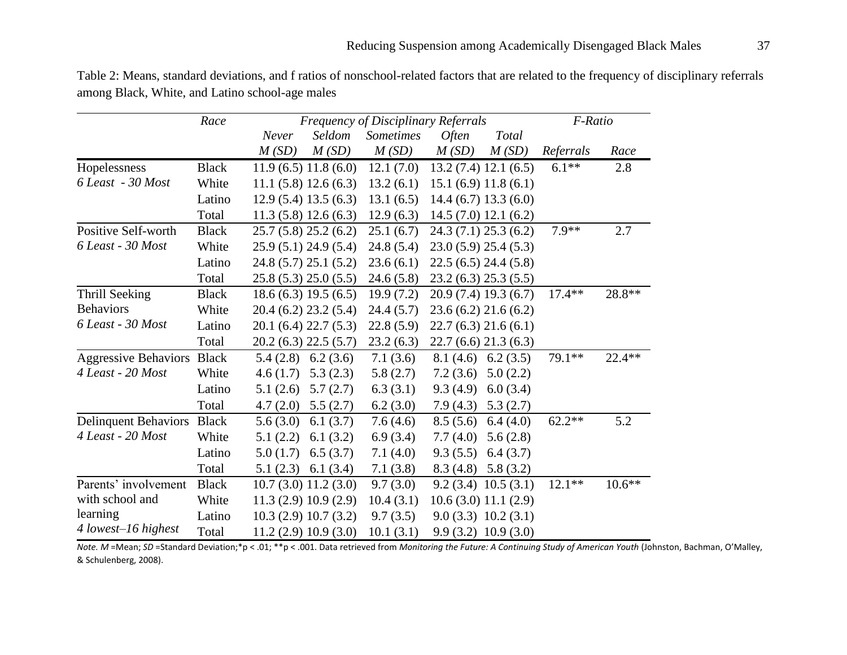| Table 2: Means, standard deviations, and f ratios of nonschool-related factors that are related to the frequency of disciplinary referrals |
|--------------------------------------------------------------------------------------------------------------------------------------------|
| among Black, White, and Latino school-age males                                                                                            |

|                             | Race         | Frequency of Disciplinary Referrals |                     |                  |                     |                       | F-Ratio   |          |
|-----------------------------|--------------|-------------------------------------|---------------------|------------------|---------------------|-----------------------|-----------|----------|
|                             |              | Never                               | Seldom              | <b>Sometimes</b> | <i><b>Often</b></i> | Total                 |           |          |
|                             |              | M(SD)                               | M(SD)               | M(SD)            | M(SD)               | M(SD)                 | Referrals | Race     |
| Hopelessness                | <b>Black</b> |                                     | 11.9(6.5)11.8(6.0)  | 12.1(7.0)        |                     | 13.2(7.4) 12.1(6.5)   | $6.1**$   | 2.8      |
| 6 Least - 30 Most           | White        |                                     | 11.1(5.8)12.6(6.3)  | 13.2(6.1)        |                     | 15.1(6.9)11.8(6.1)    |           |          |
|                             | Latino       |                                     | 12.9(5.4)13.5(6.3)  | 13.1(6.5)        |                     | 14.4(6.7)13.3(6.0)    |           |          |
|                             | Total        |                                     | 11.3(5.8)12.6(6.3)  | 12.9(6.3)        |                     | 14.5(7.0) 12.1(6.2)   |           |          |
| Positive Self-worth         | <b>Black</b> |                                     | 25.7(5.8)25.2(6.2)  | 25.1(6.7)        |                     | 24.3(7.1)25.3(6.2)    | $7.9**$   | 2.7      |
| 6 Least - 30 Most           | White        |                                     | 25.9(5.1)24.9(5.4)  | 24.8(5.4)        |                     | 23.0(5.9)25.4(5.3)    |           |          |
|                             | Latino       |                                     | 24.8(5.7)25.1(5.2)  | 23.6(6.1)        |                     | 22.5(6.5)24.4(5.8)    |           |          |
|                             | Total        |                                     | 25.8(5.3)25.0(5.5)  | 24.6(5.8)        |                     | 23.2(6.3) 25.3(5.5)   |           |          |
| Thrill Seeking              | <b>Black</b> |                                     | 18.6(6.3) 19.5(6.5) | 19.9(7.2)        |                     | 20.9 (7.4) 19.3 (6.7) | $17.4**$  | 28.8**   |
| <b>Behaviors</b>            | White        |                                     | 20.4(6.2)23.2(5.4)  | 24.4(5.7)        |                     | 23.6(6.2)21.6(6.2)    |           |          |
| 6 Least - 30 Most           | Latino       |                                     | 20.1(6.4)22.7(5.3)  | 22.8(5.9)        |                     | 22.7(6.3)21.6(6.1)    |           |          |
|                             | Total        |                                     | 20.2(6.3) 22.5(5.7) | 23.2(6.3)        |                     | 22.7(6.6)21.3(6.3)    |           |          |
| <b>Aggressive Behaviors</b> | <b>Black</b> | 5.4(2.8)                            | 6.2(3.6)            | 7.1(3.6)         | 8.1(4.6)            | 6.2(3.5)              | 79.1**    | 22.4**   |
| 4 Least - 20 Most           | White        | 4.6(1.7)                            | 5.3(2.3)            | 5.8(2.7)         | 7.2(3.6)            | 5.0(2.2)              |           |          |
|                             | Latino       | 5.1(2.6)                            | 5.7(2.7)            | 6.3(3.1)         | 9.3(4.9)            | 6.0(3.4)              |           |          |
|                             | Total        | 4.7(2.0)                            | 5.5(2.7)            | 6.2(3.0)         | 7.9(4.3)            | 5.3(2.7)              |           |          |
| <b>Delinquent Behaviors</b> | <b>Black</b> | 5.6(3.0)                            | 6.1(3.7)            | 7.6(4.6)         | 8.5(5.6)            | 6.4(4.0)              | $62.2**$  | 5.2      |
| 4 Least - 20 Most           | White        | 5.1(2.2)                            | 6.1(3.2)            | 6.9(3.4)         | 7.7(4.0)            | 5.6(2.8)              |           |          |
|                             | Latino       | 5.0(1.7)                            | 6.5(3.7)            | 7.1(4.0)         | 9.3(5.5)            | 6.4(3.7)              |           |          |
|                             | Total        | 5.1(2.3)                            | 6.1 $(3.4)$         | 7.1(3.8)         | 8.3(4.8)            | 5.8(3.2)              |           |          |
| Parents' involvement        | <b>Black</b> |                                     | 10.7(3.0) 11.2(3.0) | 9.7(3.0)         |                     | 9.2(3.4)10.5(3.1)     | $12.1**$  | $10.6**$ |
| with school and             | White        |                                     | 11.3(2.9)10.9(2.9)  | 10.4(3.1)        |                     | 10.6(3.0) 11.1(2.9)   |           |          |
| learning                    | Latino       |                                     | 10.3(2.9)10.7(3.2)  | 9.7(3.5)         |                     | 9.0(3.3) 10.2(3.1)    |           |          |
| 4 lowest-16 highest         | Total        |                                     | 11.2(2.9)10.9(3.0)  | 10.1(3.1)        |                     | 9.9(3.2)10.9(3.0)     |           |          |

*Note. M* =Mean; *SD* =Standard Deviation;\*p < .01; \*\*p < .001. Data retrieved from *Monitoring the Future: A Continuing Study of American Youth* (Johnston, Bachman, O'Malley, & Schulenberg, 2008).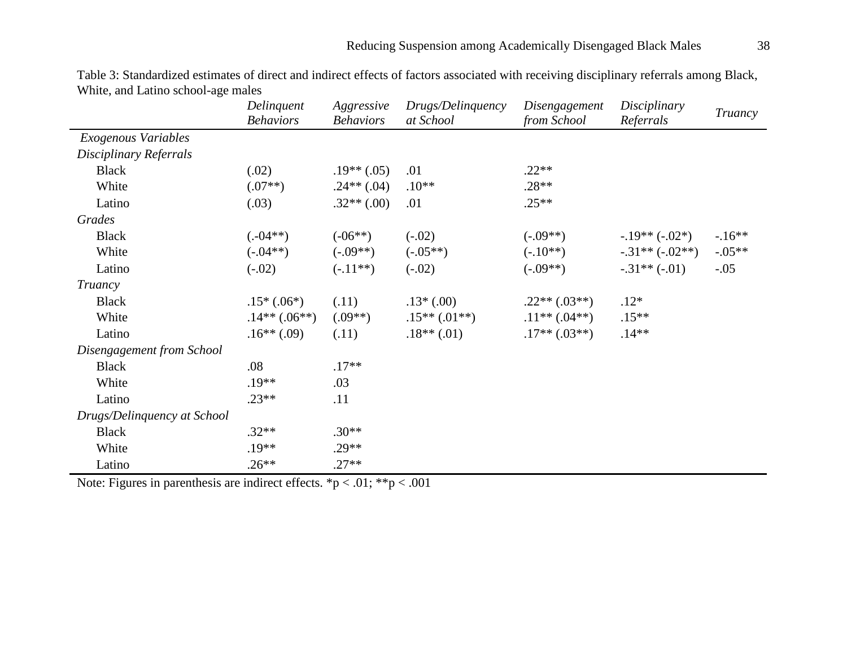|                             | Delinquent<br><b>Behaviors</b> | Aggressive<br><b>Behaviors</b> | Drugs/Delinquency<br>at School | Disengagement<br>from School | Disciplinary<br>Referrals | Truancy  |
|-----------------------------|--------------------------------|--------------------------------|--------------------------------|------------------------------|---------------------------|----------|
| Exogenous Variables         |                                |                                |                                |                              |                           |          |
| Disciplinary Referrals      |                                |                                |                                |                              |                           |          |
| <b>Black</b>                | (.02)                          | $.19**(.05)$                   | .01                            | $.22**$                      |                           |          |
| White                       | $(.07**)$                      | $.24**(.04)$                   | $.10**$                        | $.28**$                      |                           |          |
| Latino                      | (.03)                          | $.32**(.00)$                   | .01                            | $.25**$                      |                           |          |
| Grades                      |                                |                                |                                |                              |                           |          |
| <b>Black</b>                | $(.04**)$                      | $(-06**)$                      | $(-.02)$                       | $(-.09**)$                   | $-.19**(-.02*)$           | $-16**$  |
| White                       | $(-.04**)$                     | $(-.09**)$                     | $(-.05**)$                     | $(-.10**)$                   | $-.31**(-.02**)$          | $-.05**$ |
| Latino                      | $(-.02)$                       | $(-.11**)$                     | $(-.02)$                       | $(-.09**)$                   | $-.31**(-.01)$            | $-.05$   |
| Truancy                     |                                |                                |                                |                              |                           |          |
| <b>Black</b>                | $.15*(.06*)$                   | (.11)                          | $.13*(.00)$                    | $.22**(.03**)$               | $.12*$                    |          |
| White                       | $.14**(.06**)$                 | $(.09**)$                      | $.15**(.01**)$                 | $.11**(.04**)$               | $.15**$                   |          |
| Latino                      | $.16**(.09)$                   | (.11)                          | $.18**$ (.01)                  | $.17**(.03**)$               | $.14**$                   |          |
| Disengagement from School   |                                |                                |                                |                              |                           |          |
| <b>Black</b>                | .08                            | $.17**$                        |                                |                              |                           |          |
| White                       | $.19**$                        | .03                            |                                |                              |                           |          |
| Latino                      | $.23**$                        | .11                            |                                |                              |                           |          |
| Drugs/Delinquency at School |                                |                                |                                |                              |                           |          |
| <b>Black</b>                | $.32**$                        | $.30**$                        |                                |                              |                           |          |
| White                       | $.19**$                        | $.29**$                        |                                |                              |                           |          |
| Latino                      | $.26**$                        | $.27**$                        |                                |                              |                           |          |

Table 3: Standardized estimates of direct and indirect effects of factors associated with receiving disciplinary referrals among Black, White, and Latino school-age males

Note: Figures in parenthesis are indirect effects. \*p < .01; \*\*p < .001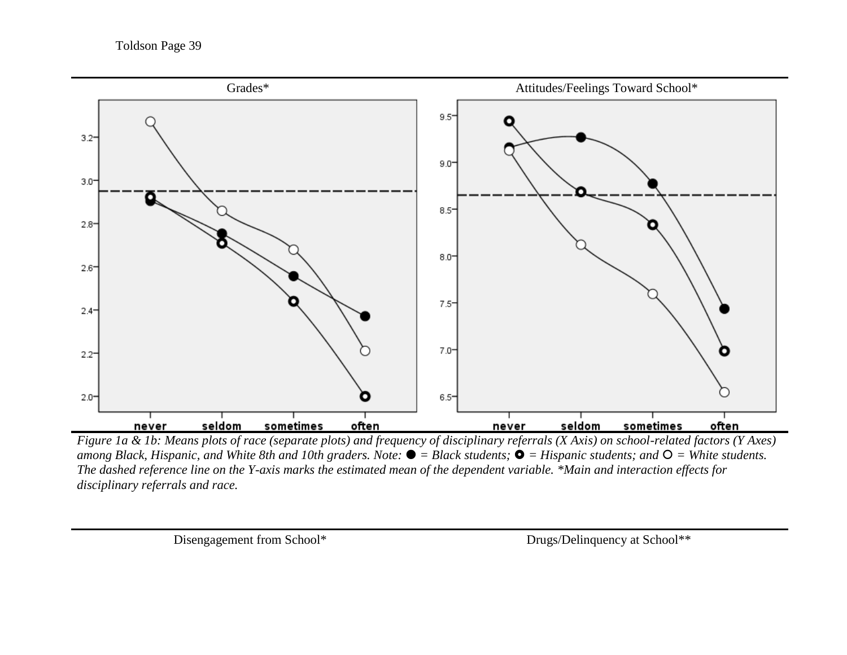

*Figure 1a & 1b: Means plots of race (separate plots) and frequency of disciplinary referrals (X Axis) on school-related factors (Y Axes) among Black, Hispanic, and White 8th and 10th graders. Note:*  $\bullet$  = *Black students;*  $\bullet$  = *Hispanic students; and*  $\circ$  = *White students. The dashed reference line on the Y-axis marks the estimated mean of the dependent variable. \*Main and interaction effects for disciplinary referrals and race.*

Disengagement from School\* Drugs/Delinquency at School\*\*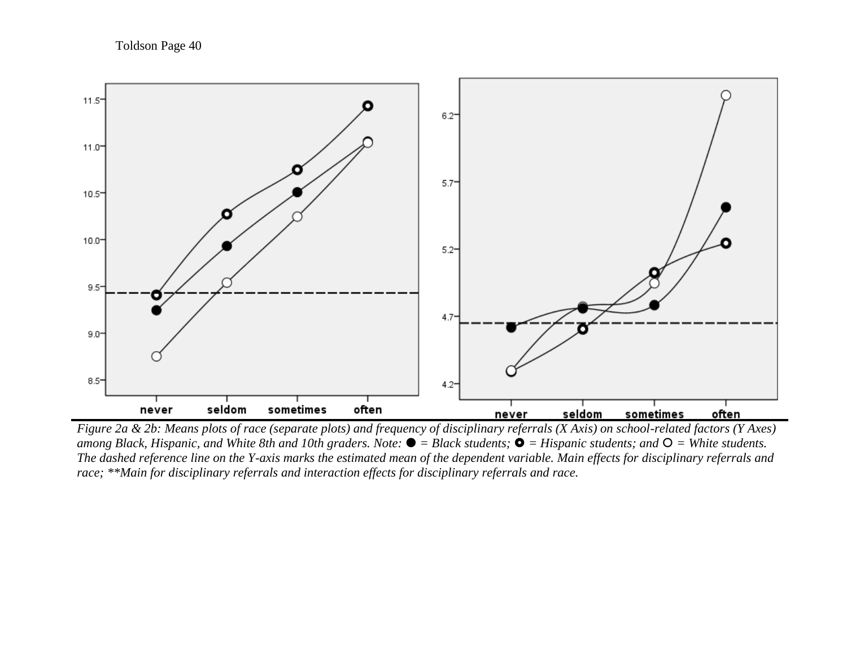Toldson Page 40



*Figure 2a & 2b: Means plots of race (separate plots) and frequency of disciplinary referrals (X Axis) on school-related factors (Y Axes) among Black, Hispanic, and White 8th and 10th graders. Note: = Black students; = Hispanic students; and = White students. The dashed reference line on the Y-axis marks the estimated mean of the dependent variable. Main effects for disciplinary referrals and race; \*\*Main for disciplinary referrals and interaction effects for disciplinary referrals and race.*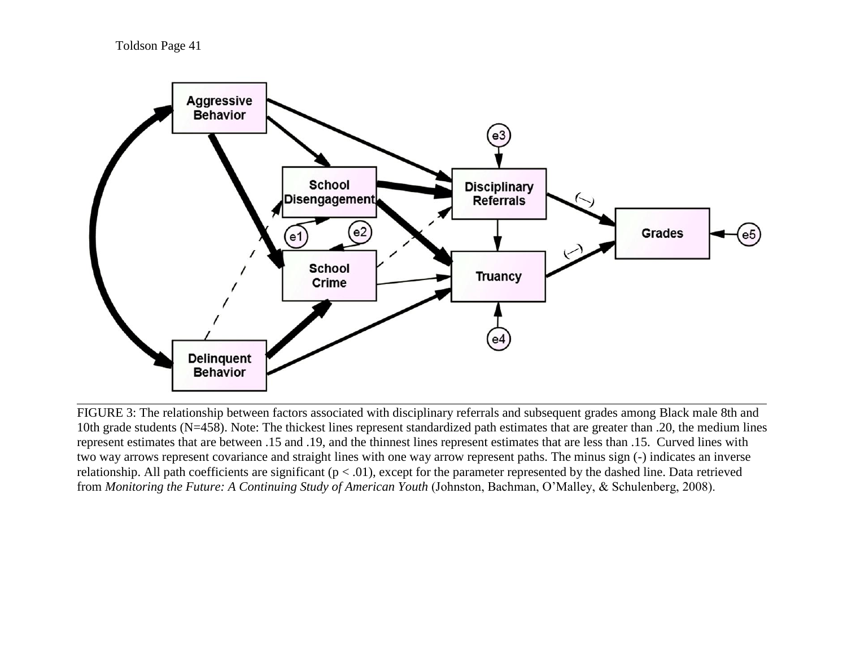Toldson Page 41



FIGURE 3: The relationship between factors associated with disciplinary referrals and subsequent grades among Black male 8th and 10th grade students (N=458). Note: The thickest lines represent standardized path estimates that are greater than .20, the medium lines represent estimates that are between .15 and .19, and the thinnest lines represent estimates that are less than .15. Curved lines with two way arrows represent covariance and straight lines with one way arrow represent paths. The minus sign (-) indicates an inverse relationship. All path coefficients are significant  $(p < .01)$ , except for the parameter represented by the dashed line. Data retrieved from *Monitoring the Future: A Continuing Study of American Youth* (Johnston, Bachman, O'Malley, & Schulenberg, 2008).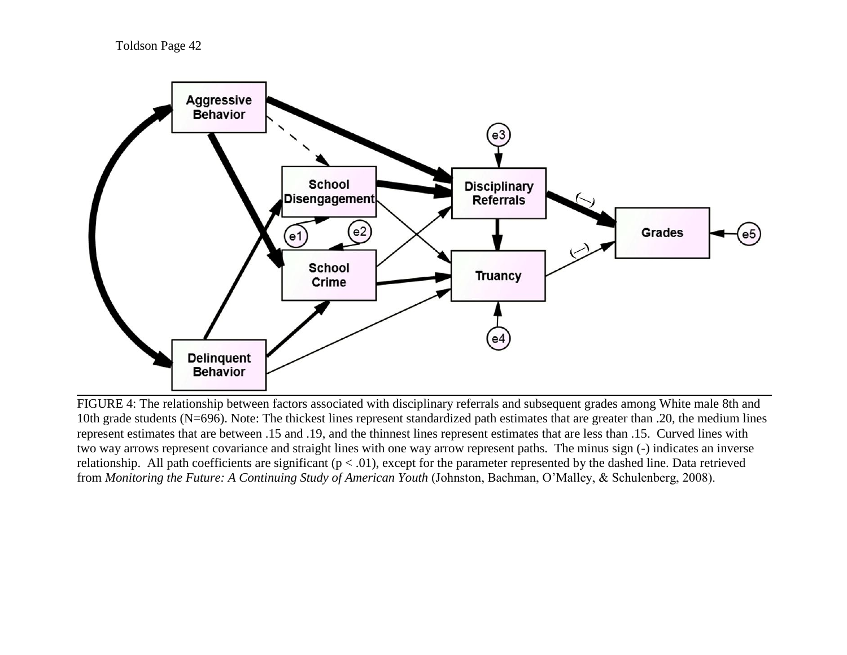Toldson Page 42



FIGURE 4: The relationship between factors associated with disciplinary referrals and subsequent grades among White male 8th and 10th grade students (N=696). Note: The thickest lines represent standardized path estimates that are greater than .20, the medium lines represent estimates that are between .15 and .19, and the thinnest lines represent estimates that are less than .15. Curved lines with two way arrows represent covariance and straight lines with one way arrow represent paths. The minus sign (-) indicates an inverse relationship. All path coefficients are significant  $(p < .01)$ , except for the parameter represented by the dashed line. Data retrieved from *Monitoring the Future: A Continuing Study of American Youth* (Johnston, Bachman, O'Malley, & Schulenberg, 2008).